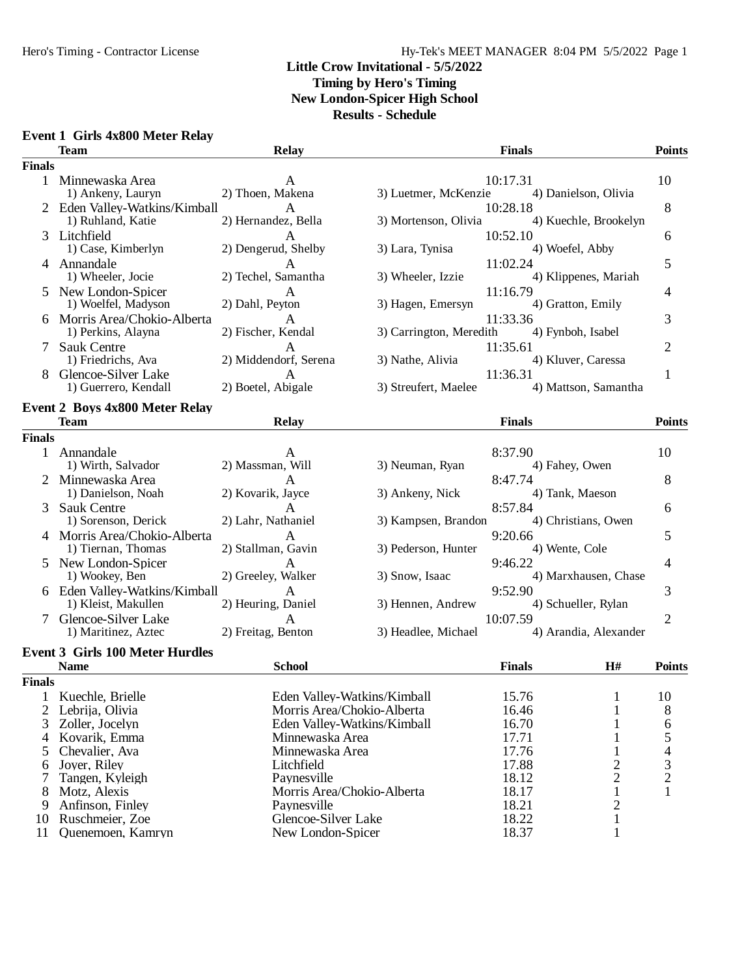#### Hy-Tek's MEET MANAGER 8:04 PM 5/5/2022 Page 1

#### **Little Crow Invitational - 5/5/2022 Timing by Hero's Timing New London-Spicer High School**

**Results - Schedule**

| <b>Event 1 Girls 4x800 Meter Relay</b> |
|----------------------------------------|
|                                        |

11 Quenemoen, Kamryn

|               | <b>Team</b>                            | <b>Relay</b>                |                         | <b>Finals</b> |                       | <b>Points</b>  |
|---------------|----------------------------------------|-----------------------------|-------------------------|---------------|-----------------------|----------------|
| <b>Finals</b> |                                        |                             |                         |               |                       |                |
|               | 1 Minnewaska Area                      | A                           |                         | 10:17.31      |                       | 10             |
|               | 1) Ankeny, Lauryn                      | 2) Thoen, Makena            | 3) Luetmer, McKenzie    |               | 4) Danielson, Olivia  |                |
|               | 2 Eden Valley-Watkins/Kimball          | A                           |                         | 10:28.18      |                       | 8              |
|               | 1) Ruhland, Katie                      | 2) Hernandez, Bella         | 3) Mortenson, Olivia    |               | 4) Kuechle, Brookelyn |                |
| 3             | Litchfield                             | A                           |                         | 10:52.10      |                       | 6              |
|               | 1) Case, Kimberlyn                     | 2) Dengerud, Shelby         | 3) Lara, Tynisa         |               | 4) Woefel, Abby       |                |
|               | 4 Annandale                            | A                           |                         | 11:02.24      |                       | 5              |
|               | 1) Wheeler, Jocie                      | 2) Techel, Samantha         | 3) Wheeler, Izzie       |               | 4) Klippenes, Mariah  |                |
|               | New London-Spicer                      | A                           |                         | 11:16.79      |                       | 4              |
|               | 1) Woelfel, Madyson                    | 2) Dahl, Peyton             | 3) Hagen, Emersyn       |               | 4) Gratton, Emily     |                |
|               | 6 Morris Area/Chokio-Alberta           | A                           |                         | 11:33.36      |                       | 3              |
|               | 1) Perkins, Alayna                     | 2) Fischer, Kendal          | 3) Carrington, Meredith |               | 4) Fynboh, Isabel     |                |
|               | Sauk Centre                            | A                           |                         | 11:35.61      |                       | $\overline{2}$ |
|               | 1) Friedrichs, Ava                     | 2) Middendorf, Serena       | 3) Nathe, Alivia        |               | 4) Kluver, Caressa    |                |
| 8             | Glencoe-Silver Lake                    | A                           |                         | 11:36.31      |                       | 1              |
|               | 1) Guerrero, Kendall                   | 2) Boetel, Abigale          | 3) Streufert, Maelee    |               | 4) Mattson, Samantha  |                |
|               | <b>Event 2 Boys 4x800 Meter Relay</b>  |                             |                         |               |                       |                |
|               | <b>Team</b>                            | Relay                       |                         | <b>Finals</b> |                       | <b>Points</b>  |
| <b>Finals</b> |                                        |                             |                         |               |                       |                |
| $\mathbf{1}$  | Annandale                              | А                           |                         | 8:37.90       |                       | 10             |
|               | 1) Wirth, Salvador                     | 2) Massman, Will            | 3) Neuman, Ryan         |               | 4) Fahey, Owen        |                |
|               | Minnewaska Area                        | A                           |                         | 8:47.74       |                       | 8              |
|               | 1) Danielson, Noah                     | 2) Kovarik, Jayce           | 3) Ankeny, Nick         |               | 4) Tank, Maeson       |                |
| 3             | Sauk Centre                            | A                           |                         | 8:57.84       |                       | 6              |
|               | 1) Sorenson, Derick                    | 2) Lahr, Nathaniel          | 3) Kampsen, Brandon     |               | 4) Christians, Owen   |                |
|               | Morris Area/Chokio-Alberta             | A                           |                         | 9:20.66       |                       | 5              |
|               | 1) Tiernan, Thomas                     | 2) Stallman, Gavin          | 3) Pederson, Hunter     |               | 4) Wente, Cole        |                |
|               | New London-Spicer                      | A                           |                         | 9:46.22       |                       | 4              |
|               | 1) Wookey, Ben                         | 2) Greeley, Walker          | 3) Snow, Isaac          |               | 4) Marxhausen, Chase  |                |
|               | 6 Eden Valley-Watkins/Kimball          | A                           |                         | 9:52.90       |                       | 3              |
|               | 1) Kleist, Makullen                    | 2) Heuring, Daniel          | 3) Hennen, Andrew       |               | 4) Schueller, Rylan   |                |
|               | Glencoe-Silver Lake                    | A                           |                         | 10:07.59      |                       | $\overline{2}$ |
|               | 1) Maritinez, Aztec                    | 2) Freitag, Benton          | 3) Headlee, Michael     |               | 4) Arandia, Alexander |                |
|               |                                        |                             |                         |               |                       |                |
|               | <b>Event 3 Girls 100 Meter Hurdles</b> |                             |                         |               |                       |                |
|               | <b>Name</b>                            | <b>School</b>               |                         | <b>Finals</b> | H#                    | <b>Points</b>  |
| <b>Finals</b> |                                        |                             |                         |               |                       |                |
|               | 1 Kuechle, Brielle                     | Eden Valley-Watkins/Kimball |                         | 15.76         | 1                     | 10             |
|               | 2 Lebrija, Olivia                      | Morris Area/Chokio-Alberta  |                         | 16.46         | 1                     | 8              |
| 3             | Zoller, Jocelyn                        | Eden Valley-Watkins/Kimball |                         | 16.70         | 1                     | 6              |
| 4             | Kovarik, Emma                          | Minnewaska Area             |                         | 17.71         | 1                     | 5              |
| 5             | Chevalier, Ava                         | Minnewaska Area             |                         | 17.76         |                       |                |
| 6             | Joyer, Riley                           | Litchfield                  |                         | 17.88         | 2                     | 3              |
| 7             | Tangen, Kyleigh                        | Paynesville                 |                         | 18.12         | $\overline{2}$        | 2              |
|               | 8 Motz, Alexis                         | Morris Area/Chokio-Alberta  |                         | 18.17         |                       |                |

18.17<br>
8 Morris Area/Chokio-Alberta 18.17<br>
18.21<br>
18.21<br>
2

10 Glencoe-Silver Lake 18.22 1<br>
New London-Spicer 18.37 1

9 Anfinson, Finley Paynesville 18.21 2<br>10 Ruschmeier, Zoe Glencoe-Silver Lake 18.22 1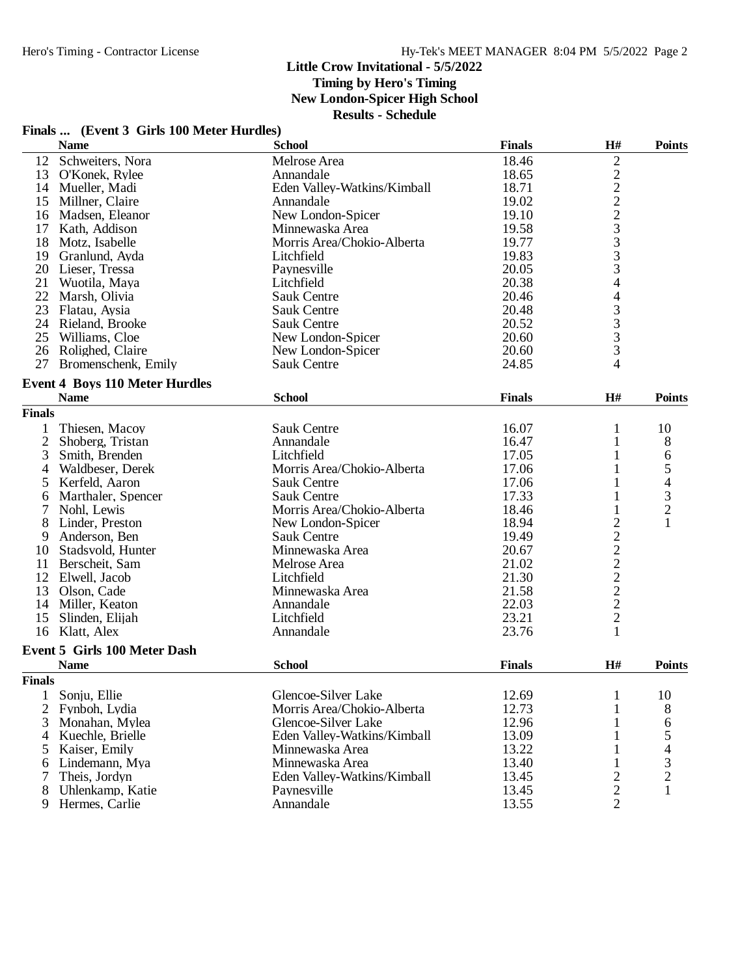**Timing by Hero's Timing**

**New London-Spicer High School**

|  |  | Finals  (Event 3 Girls 100 Meter Hurdles) |  |
|--|--|-------------------------------------------|--|
|--|--|-------------------------------------------|--|

|                | <b>Name</b>                           | <b>School</b>               | <b>Finals</b> | H#             | <b>Points</b>            |
|----------------|---------------------------------------|-----------------------------|---------------|----------------|--------------------------|
| 12             | Schweiters, Nora                      | Melrose Area                | 18.46         | $\overline{c}$ |                          |
| 13             | O'Konek, Rylee                        | Annandale                   | 18.65         |                |                          |
|                | 14 Mueller, Madi                      | Eden Valley-Watkins/Kimball | 18.71         | 22223333       |                          |
| 15             | Millner, Claire                       | Annandale                   | 19.02         |                |                          |
| 16             | Madsen, Eleanor                       | New London-Spicer           | 19.10         |                |                          |
| 17             | Kath, Addison                         | Minnewaska Area             | 19.58         |                |                          |
| 18             | Motz, Isabelle                        | Morris Area/Chokio-Alberta  | 19.77         |                |                          |
| 19             | Granlund, Ayda                        | Litchfield                  | 19.83         |                |                          |
|                | 20 Lieser, Tressa                     | Paynesville                 | 20.05         |                |                          |
| 21             | Wuotila, Maya                         | Litchfield                  | 20.38         | 4              |                          |
| 22             | Marsh, Olivia                         | <b>Sauk Centre</b>          | 20.46         | 4              |                          |
| 23             | Flatau, Aysia                         | Sauk Centre                 | 20.48         |                |                          |
|                | 24 Rieland, Brooke                    | <b>Sauk Centre</b>          | 20.52         | $\frac{3}{3}$  |                          |
|                | 25 Williams, Cloe                     | New London-Spicer           | 20.60         | 3              |                          |
|                | 26 Rolighed, Claire                   | New London-Spicer           | 20.60         | 3              |                          |
| 27             | Bromenschenk, Emily                   | <b>Sauk Centre</b>          | 24.85         | 4              |                          |
|                |                                       |                             |               |                |                          |
|                | <b>Event 4 Boys 110 Meter Hurdles</b> |                             |               |                |                          |
|                | <b>Name</b>                           | <b>School</b>               | <b>Finals</b> | H#             | <b>Points</b>            |
| <b>Finals</b>  |                                       |                             |               |                |                          |
| 1              | Thiesen, Macoy                        | <b>Sauk Centre</b>          | 16.07         | 1              | 10                       |
| $\overline{2}$ | Shoberg, Tristan                      | Annandale                   | 16.47         | $\mathbf{1}$   | 8                        |
| 3              | Smith, Brenden                        | Litchfield                  | 17.05         |                | 6                        |
| 4              | Waldbeser, Derek                      | Morris Area/Chokio-Alberta  | 17.06         |                | 5                        |
| 5              | Kerfeld, Aaron                        | <b>Sauk Centre</b>          | 17.06         |                | $\overline{\mathcal{L}}$ |
| 6              | Marthaler, Spencer                    | <b>Sauk Centre</b>          | 17.33         | 1              | $\frac{3}{2}$            |
| 7              | Nohl, Lewis                           | Morris Area/Chokio-Alberta  | 18.46         |                |                          |
| 8              | Linder, Preston                       | New London-Spicer           | 18.94         |                | 1                        |
| 9              | Anderson, Ben                         | <b>Sauk Centre</b>          | 19.49         | 222222         |                          |
| 10             | Stadsvold, Hunter                     | Minnewaska Area             | 20.67         |                |                          |
| 11             | Berscheit, Sam                        | Melrose Area                | 21.02         |                |                          |
| 12             | Elwell, Jacob                         | Litchfield                  | 21.30         |                |                          |
| 13             | Olson, Cade                           | Minnewaska Area             | 21.58         |                |                          |
| 14             | Miller, Keaton                        | Annandale                   | 22.03         |                |                          |
| 15             | Slinden, Elijah                       | Litchfield                  | 23.21         | $\overline{c}$ |                          |
|                | 16 Klatt, Alex                        | Annandale                   | 23.76         | 1              |                          |
|                | Event 5 Girls 100 Meter Dash          |                             |               |                |                          |
|                | <b>Name</b>                           | <b>School</b>               | <b>Finals</b> | H#             | <b>Points</b>            |
|                |                                       |                             |               |                |                          |
| <b>Finals</b>  |                                       |                             |               |                |                          |
|                | 1 Sonju, Ellie                        | Glencoe-Silver Lake         | 12.69         | $\mathbf{1}$   | 10                       |
| 2              | Fynboh, Lydia                         | Morris Area/Chokio-Alberta  | 12.73         | 1              | 8                        |
| 3              | Monahan, Mylea                        | Glencoe-Silver Lake         | 12.96         |                | 6                        |
|                | 4 Kuechle, Brielle                    | Eden Valley-Watkins/Kimball | 13.09         |                | 5<br>4                   |
| 5              | Kaiser, Emily                         | Minnewaska Area             | 13.22         |                |                          |
| 6              | Lindemann, Mya                        | Minnewaska Area             | 13.40         |                | $\frac{3}{2}$            |
|                | Theis, Jordyn                         | Eden Valley-Watkins/Kimball | 13.45         | 2              |                          |
| 8              | Uhlenkamp, Katie                      | Paynesville                 | 13.45         | $\sqrt{2}$     | $\mathbf{1}$             |
| 9              | Hermes, Carlie                        | Annandale                   | 13.55         | $\overline{2}$ |                          |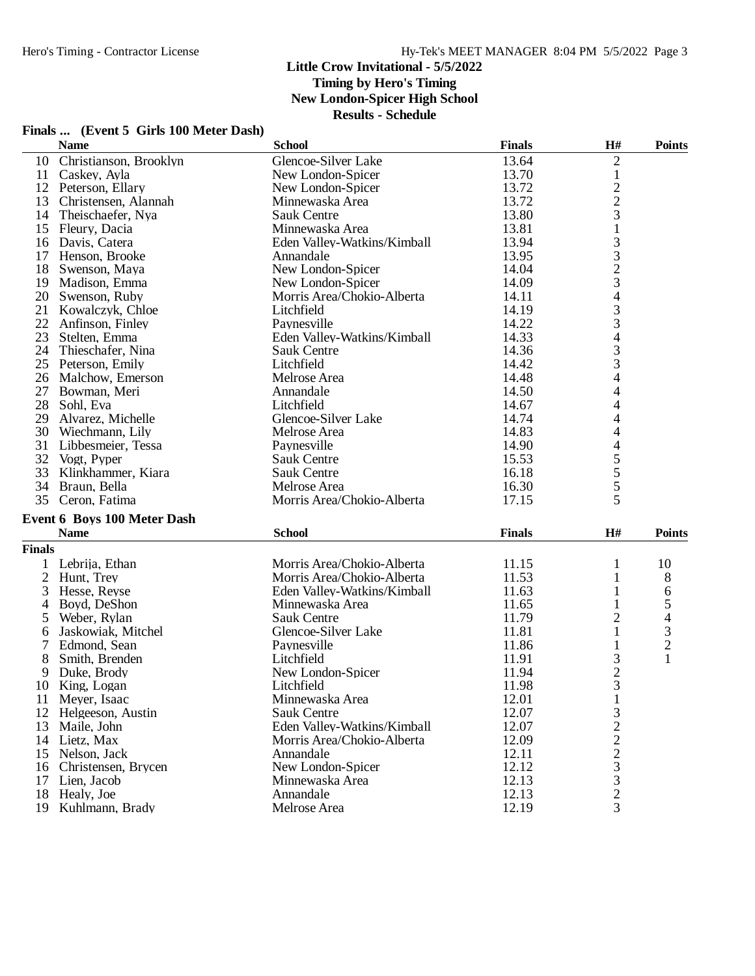|                | Finals  (Event 5 Girls 100 Meter Dash) |  |  |
|----------------|----------------------------------------|--|--|
| $\blacksquare$ |                                        |  |  |

|               | <b>Name</b>                        | <b>School</b>               | <b>Finals</b> | H#                                              | <b>Points</b>            |
|---------------|------------------------------------|-----------------------------|---------------|-------------------------------------------------|--------------------------|
| 10            | Christianson, Brooklyn             | Glencoe-Silver Lake         | 13.64         | $\sqrt{2}$                                      |                          |
| 11            | Caskey, Ayla                       | New London-Spicer           | 13.70         | $\mathbf{1}$                                    |                          |
|               | 12 Peterson, Ellary                | New London-Spicer           | 13.72         |                                                 |                          |
| 13            | Christensen, Alannah               | Minnewaska Area             | 13.72         | $\begin{array}{c} 2 \\ 2 \\ 3 \end{array}$      |                          |
| 14            | Theischaefer, Nya                  | <b>Sauk Centre</b>          | 13.80         |                                                 |                          |
|               | 15 Fleury, Dacia                   | Minnewaska Area             | 13.81         | $\,1$                                           |                          |
|               | 16 Davis, Catera                   | Eden Valley-Watkins/Kimball | 13.94         |                                                 |                          |
|               | 17 Henson, Brooke                  | Annandale                   | 13.95         | $\begin{array}{c} 3 \\ 3 \\ 2 \\ 3 \end{array}$ |                          |
| 18            | Swenson, Maya                      | New London-Spicer           | 14.04         |                                                 |                          |
| 19            | Madison, Emma                      | New London-Spicer           | 14.09         |                                                 |                          |
| 20            | Swenson, Ruby                      | Morris Area/Chokio-Alberta  | 14.11         | $\overline{4}$                                  |                          |
| 21            | Kowalczyk, Chloe                   | Litchfield                  | 14.19         |                                                 |                          |
| 22            | Anfinson, Finley                   | Paynesville                 | 14.22         | $\frac{3}{3}$                                   |                          |
| 23            | Stelten, Emma                      | Eden Valley-Watkins/Kimball | 14.33         |                                                 |                          |
| 24            | Thieschafer, Nina                  | <b>Sauk Centre</b>          | 14.36         | $\begin{array}{c} 4 \\ 3 \\ 3 \end{array}$      |                          |
| 25            |                                    | Litchfield                  | 14.42         |                                                 |                          |
|               | Peterson, Emily                    |                             |               |                                                 |                          |
| 26            | Malchow, Emerson                   | Melrose Area                | 14.48         | $\overline{4}$                                  |                          |
|               | 27 Bowman, Meri                    | Annandale                   | 14.50         | 4                                               |                          |
|               | 28 Sohl, Eva                       | Litchfield                  | 14.67         | 4                                               |                          |
| 29            | Alvarez, Michelle                  | Glencoe-Silver Lake         | 14.74         | 4                                               |                          |
|               | 30 Wiechmann, Lily                 | Melrose Area                | 14.83         | 4                                               |                          |
| 31            | Libbesmeier, Tessa                 | Paynesville                 | 14.90         | 4                                               |                          |
| 32            | Vogt, Pyper                        | <b>Sauk Centre</b>          | 15.53         | 5                                               |                          |
| 33            | Klinkhammer, Kiara                 | <b>Sauk Centre</b>          | 16.18         | 5                                               |                          |
| 34            | Braun, Bella                       | Melrose Area                | 16.30         | 5                                               |                          |
|               | 35 Ceron, Fatima                   | Morris Area/Chokio-Alberta  | 17.15         | 5                                               |                          |
|               | <b>Event 6 Boys 100 Meter Dash</b> |                             |               |                                                 |                          |
|               | <b>Name</b>                        | <b>School</b>               | <b>Finals</b> | H#                                              | <b>Points</b>            |
| <b>Finals</b> |                                    |                             |               |                                                 |                          |
|               | 1 Lebrija, Ethan                   | Morris Area/Chokio-Alberta  | 11.15         | 1                                               | 10                       |
| 2             | Hunt, Trey                         | Morris Area/Chokio-Alberta  | 11.53         | 1                                               | 8                        |
|               |                                    |                             | 11.63         |                                                 |                          |
| 3             | Hesse, Reyse                       | Eden Valley-Watkins/Kimball |               | $\mathbf{1}$                                    | 6                        |
| 4             | Boyd, DeShon                       | Minnewaska Area             | 11.65         | 1                                               | 5                        |
| 5             | Weber, Rylan                       | <b>Sauk Centre</b>          | 11.79         | 2                                               | $\overline{\mathcal{L}}$ |
| 6             | Jaskowiak, Mitchel                 | Glencoe-Silver Lake         | 11.81         | 1                                               | 3                        |
| 7             | Edmond, Sean                       | Paynesville                 | 11.86         | 1                                               | $\overline{c}$           |
| 8             | Smith, Brenden                     | Litchfield                  | 11.91         | 3                                               | $\mathbf{1}$             |
| 9             | Duke, Brody                        | New London-Spicer           | 11.94         | $\overline{c}$                                  |                          |
| 10            | King, Logan                        | Litchfield                  | 11.98         | 3                                               |                          |
| 11            | Meyer, Isaac                       | Minnewaska Area             | 12.01         | 1                                               |                          |
|               | 12 Helgeeson, Austin               | <b>Sauk Centre</b>          | 12.07         | 3                                               |                          |
| 13            | Maile, John                        | Eden Valley-Watkins/Kimball | 12.07         | $\overline{c}$                                  |                          |
|               | 14 Lietz, Max                      | Morris Area/Chokio-Alberta  | 12.09         |                                                 |                          |
| 15            | Nelson, Jack                       | Annandale                   | 12.11         | $\frac{2}{2}$                                   |                          |
|               | 16 Christensen, Brycen             | New London-Spicer           | 12.12         | 3                                               |                          |
| 17            | Lien, Jacob                        | Minnewaska Area             | 12.13         | 3                                               |                          |
|               | 18 Healy, Joe                      | Annandale                   | 12.13         | $\sqrt{2}$                                      |                          |
| 19            | Kuhlmann, Brady                    | Melrose Area                | 12.19         | $\overline{3}$                                  |                          |
|               |                                    |                             |               |                                                 |                          |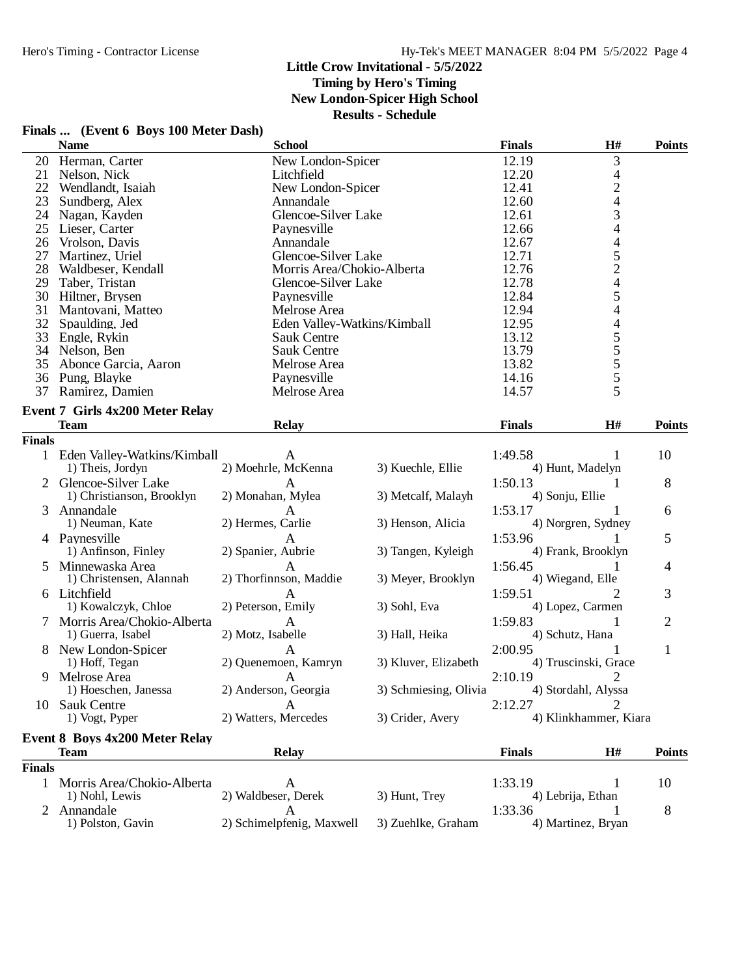#### **Little Crow Invitational - 5/5/2022 Timing by Hero's Timing**

**New London-Spicer High School**

|  | Finals  (Event 6 Boys 100 Meter Dash) |  |  |  |
|--|---------------------------------------|--|--|--|
|--|---------------------------------------|--|--|--|

|               | Finals  (Event 6 Boys 100 Meter Dash)             |                             |                       |                 |                          |                |
|---------------|---------------------------------------------------|-----------------------------|-----------------------|-----------------|--------------------------|----------------|
|               | <b>Name</b>                                       | <b>School</b>               |                       | <b>Finals</b>   | H#                       | <b>Points</b>  |
| 20            | Herman, Carter                                    | New London-Spicer           |                       | 12.19           | 3                        |                |
| 21            | Nelson, Nick                                      | Litchfield                  |                       | 12.20           | 4                        |                |
| 22            | Wendlandt, Isaiah                                 | New London-Spicer           |                       | 12.41           | $\overline{c}$           |                |
| 23            | Sundberg, Alex                                    | Annandale                   |                       | 12.60           | $\overline{\mathcal{L}}$ |                |
| 24            | Nagan, Kayden                                     | Glencoe-Silver Lake         |                       | 12.61           |                          |                |
| 25            | Lieser, Carter                                    | Paynesville                 |                       | 12.66           | 3<br>4                   |                |
| 26            | Vrolson, Davis                                    | Annandale                   |                       | 12.67           | 4                        |                |
| 27            | Martinez, Uriel                                   | Glencoe-Silver Lake         |                       | 12.71           | 5                        |                |
|               | 28 Waldbeser, Kendall                             | Morris Area/Chokio-Alberta  |                       | 12.76           | $\overline{c}$           |                |
| 29            | Taber, Tristan                                    | Glencoe-Silver Lake         |                       | 12.78           | $\overline{\mathcal{L}}$ |                |
| 30            | Hiltner, Brysen                                   | Paynesville                 |                       | 12.84           |                          |                |
|               |                                                   |                             |                       | 12.94           | 5<br>4                   |                |
| 31            | Mantovani, Matteo                                 | Melrose Area                |                       |                 |                          |                |
| 32            | Spaulding, Jed                                    | Eden Valley-Watkins/Kimball |                       | 12.95           | 4                        |                |
| 33            | Engle, Rykin                                      | Sauk Centre                 |                       | 13.12           |                          |                |
|               | 34 Nelson, Ben                                    | Sauk Centre                 |                       | 13.79           |                          |                |
| 35            | Abonce Garcia, Aaron                              | Melrose Area                |                       | 13.82           |                          |                |
| 36            | Pung, Blayke                                      | Paynesville                 |                       | 14.16           | 555555                   |                |
|               | 37 Ramirez, Damien                                | Melrose Area                |                       | 14.57           |                          |                |
|               | <b>Event 7 Girls 4x200 Meter Relay</b>            |                             |                       |                 |                          |                |
|               | <b>Team</b>                                       | <b>Relay</b>                |                       | <b>Finals</b>   | H#                       | <b>Points</b>  |
| <b>Finals</b> |                                                   |                             |                       |                 |                          |                |
|               | 1 Eden Valley-Watkins/Kimball<br>1) Theis, Jordyn | A<br>2) Moehrle, McKenna    | 3) Kuechle, Ellie     | 1:49.58         | 1<br>4) Hunt, Madelyn    | 10             |
|               |                                                   |                             |                       |                 |                          |                |
|               | Glencoe-Silver Lake                               | A                           |                       | 1:50.13         | 1                        | 8              |
|               | 1) Christianson, Brooklyn                         | 2) Monahan, Mylea           | 3) Metcalf, Malayh    | 4) Sonju, Ellie |                          |                |
| 3             | Annandale                                         | A                           |                       | 1:53.17         |                          | 6              |
|               | 1) Neuman, Kate                                   | 2) Hermes, Carlie           | 3) Henson, Alicia     |                 | 4) Norgren, Sydney       |                |
|               | 4 Paynesville                                     | А                           |                       | 1:53.96         |                          | 5              |
|               | 1) Anfinson, Finley                               | 2) Spanier, Aubrie          | 3) Tangen, Kyleigh    |                 | 4) Frank, Brooklyn       |                |
| 5.            | Minnewaska Area                                   | A                           |                       | 1:56.45         | 1                        | 4              |
|               | 1) Christensen, Alannah                           | 2) Thorfinnson, Maddie      | 3) Meyer, Brooklyn    |                 | 4) Wiegand, Elle         |                |
|               | 6 Litchfield                                      | A                           |                       | 1:59.51         | 2                        | 3              |
|               | 1) Kowalczyk, Chloe                               | 2) Peterson, Emily          | 3) Sohl, Eva          |                 | 4) Lopez, Carmen         |                |
|               | 7 Morris Area/Chokio-Alberta                      | $\mathbf{A}$                |                       | 1:59.83         | 1                        | $\overline{2}$ |
|               | 1) Guerra, Isabel                                 | 2) Motz, Isabelle           | 3) Hall, Heika        |                 | 4) Schutz, Hana          |                |
|               | 8 New London-Spicer                               | A                           |                       | 2:00.95         |                          | 1              |
|               | 1) Hoff, Tegan                                    | 2) Quenemoen, Kamryn        | 3) Kluver, Elizabeth  |                 | 4) Truscinski, Grace     |                |
|               | 9 Melrose Area                                    | $\mathbf{A}$                |                       | 2:10.19         |                          |                |
|               | 1) Hoeschen, Janessa                              | 2) Anderson, Georgia        | 3) Schmiesing, Olivia |                 | 4) Stordahl, Alyssa      |                |
| 10.           | <b>Sauk Centre</b>                                | A                           |                       | 2:12.27         | 2                        |                |
|               | 1) Vogt, Pyper                                    | 2) Watters, Mercedes        | 3) Crider, Avery      |                 | 4) Klinkhammer, Kiara    |                |
|               |                                                   |                             |                       |                 |                          |                |
|               | <b>Event 8 Boys 4x200 Meter Relay</b>             |                             |                       |                 |                          |                |
|               | <b>Team</b>                                       | <b>Relay</b>                |                       | <b>Finals</b>   | H#                       | <b>Points</b>  |
| <b>Finals</b> |                                                   |                             |                       |                 |                          |                |
|               | 1 Morris Area/Chokio-Alberta                      | A                           |                       | 1:33.19         | 1                        | 10             |
|               | 1) Nohl, Lewis                                    | 2) Waldbeser, Derek         | 3) Hunt, Trey         |                 | 4) Lebrija, Ethan        |                |
|               | 2 Annandale                                       | A                           |                       | 1:33.36         |                          | 8              |
|               | 1) Polston, Gavin                                 | 2) Schimelpfenig, Maxwell   | 3) Zuehlke, Graham    |                 | 4) Martinez, Bryan       |                |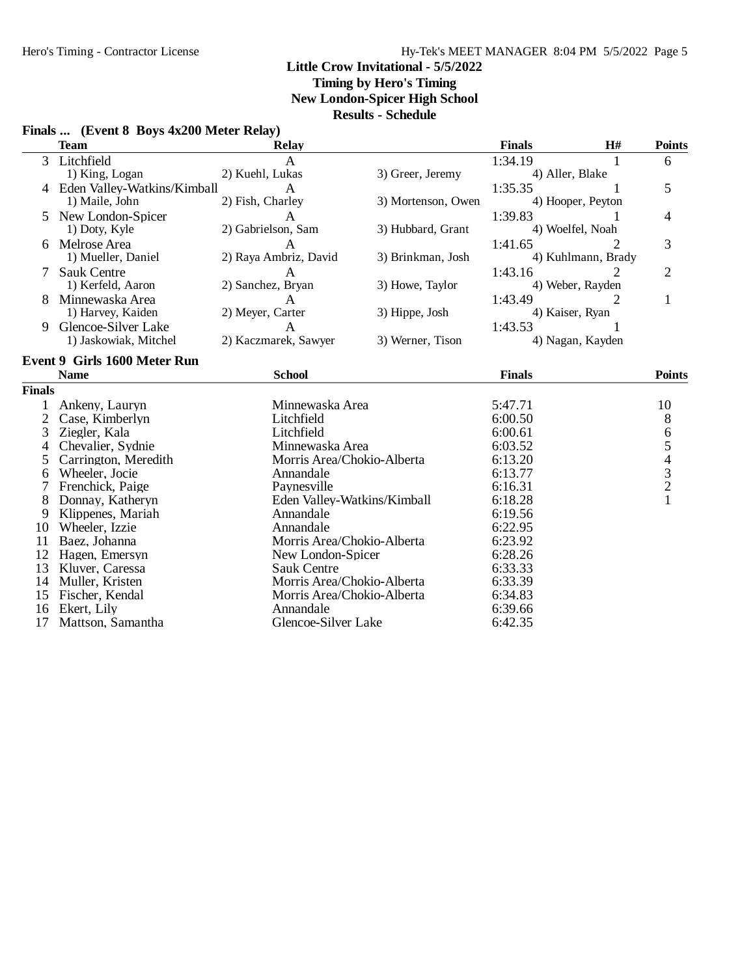**Timing by Hero's Timing**

**New London-Spicer High School**

**Results - Schedule**

|                | <b>Team</b>                         | Relay                       |                    | <b>Finals</b> | H#                 | <b>Points</b>                                   |
|----------------|-------------------------------------|-----------------------------|--------------------|---------------|--------------------|-------------------------------------------------|
| 3              | Litchfield                          |                             |                    | 1:34.19       |                    | 6                                               |
|                | 1) King, Logan                      | 2) Kuehl, Lukas             | 3) Greer, Jeremy   |               | 4) Aller, Blake    |                                                 |
|                | Eden Valley-Watkins/Kimball         | A                           |                    | 1:35.35       |                    | 5                                               |
|                | 1) Maile, John                      | 2) Fish, Charley            | 3) Mortenson, Owen |               | 4) Hooper, Peyton  |                                                 |
|                | New London-Spicer                   | $\mathbf{A}$                |                    | 1:39.83       |                    | 4                                               |
|                | 1) Doty, Kyle                       | 2) Gabrielson, Sam          | 3) Hubbard, Grant  |               | 4) Woelfel, Noah   |                                                 |
| 6              | Melrose Area                        | A                           |                    | 1:41.65       |                    | 3                                               |
|                | 1) Mueller, Daniel                  | 2) Raya Ambriz, David       | 3) Brinkman, Josh  |               | 4) Kuhlmann, Brady |                                                 |
|                | <b>Sauk Centre</b>                  | A                           |                    | 1:43.16       | 2                  | $\overline{2}$                                  |
|                | 1) Kerfeld, Aaron                   | 2) Sanchez, Bryan           | 3) Howe, Taylor    |               | 4) Weber, Rayden   |                                                 |
|                | Minnewaska Area                     | A                           |                    | 1:43.49       | 2                  | 1                                               |
|                | 1) Harvey, Kaiden                   | 2) Meyer, Carter            | 3) Hippe, Josh     |               | 4) Kaiser, Ryan    |                                                 |
| 9              | Glencoe-Silver Lake                 | A                           |                    | 1:43.53       |                    |                                                 |
|                | 1) Jaskowiak, Mitchel               | 2) Kaczmarek, Sawyer        | 3) Werner, Tison   |               | 4) Nagan, Kayden   |                                                 |
|                | <b>Event 9 Girls 1600 Meter Run</b> |                             |                    |               |                    |                                                 |
|                | <b>Name</b>                         | <b>School</b>               |                    | <b>Finals</b> |                    | <b>Points</b>                                   |
| <b>Finals</b>  |                                     |                             |                    |               |                    |                                                 |
| 1              | Ankeny, Lauryn                      | Minnewaska Area             |                    | 5:47.71       |                    | 10                                              |
| $\overline{2}$ | Case, Kimberlyn                     | Litchfield                  |                    | 6:00.50       |                    | $\,8\,$                                         |
| 3              | Ziegler, Kala                       | Litchfield                  |                    | 6:00.61       |                    | $\sqrt{6}$                                      |
| 4              | Chevalier, Sydnie                   | Minnewaska Area             |                    | 6:03.52       |                    | 5                                               |
| 5              | Carrington, Meredith                | Morris Area/Chokio-Alberta  |                    | 6:13.20       |                    |                                                 |
| 6              | Wheeler, Jocie                      | Annandale                   |                    | 6:13.77       |                    | $\begin{array}{c} 4 \\ 3 \\ 2 \\ 1 \end{array}$ |
| 7              | Frenchick, Paige                    | Paynesville                 |                    | 6:16.31       |                    |                                                 |
| 8              | Donnay, Katheryn                    | Eden Valley-Watkins/Kimball |                    | 6:18.28       |                    |                                                 |
| 9              | Klippenes, Mariah                   | Annandale                   |                    | 6:19.56       |                    |                                                 |
| 10             | Wheeler, Izzie                      | Annandale                   |                    | 6:22.95       |                    |                                                 |
| 11             | Baez, Johanna                       | Morris Area/Chokio-Alberta  |                    | 6:23.92       |                    |                                                 |
| 12             | Hagen, Emersyn                      | New London-Spicer           |                    | 6:28.26       |                    |                                                 |
| 13             | Kluver, Caressa                     | <b>Sauk Centre</b>          |                    | 6:33.33       |                    |                                                 |
| 14             | Muller, Kristen                     | Morris Area/Chokio-Alberta  |                    | 6:33.39       |                    |                                                 |
| 15             | Fischer, Kendal                     | Morris Area/Chokio-Alberta  |                    | 6:34.83       |                    |                                                 |
| 16             | Ekert, Lily                         | Annandale                   |                    | 6:39.66       |                    |                                                 |
| 17             | Mattson, Samantha                   | Glencoe-Silver Lake         |                    | 6:42.35       |                    |                                                 |

## **Finals ... (Event 8 Boys 4x200 Meter Relay)**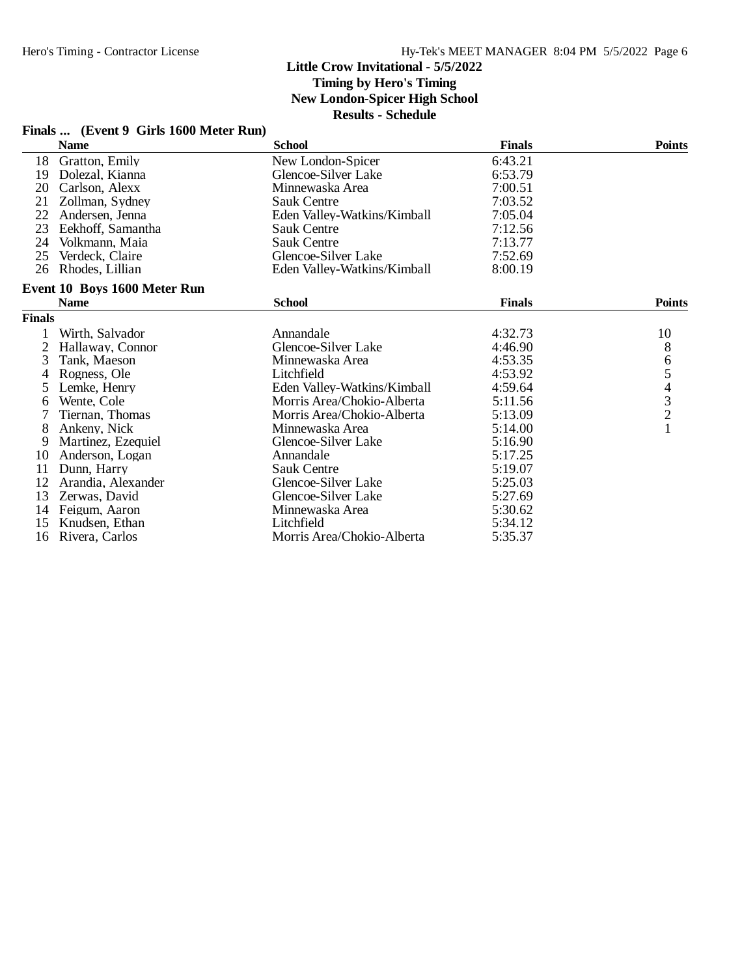**Timing by Hero's Timing**

**New London-Spicer High School**

|               | Finals  (Event 9 Girls 1600 Meter Run) |                             |               |               |
|---------------|----------------------------------------|-----------------------------|---------------|---------------|
|               | <b>Name</b>                            | <b>School</b>               | <b>Finals</b> | <b>Points</b> |
| 18            | Gratton, Emily                         | New London-Spicer           | 6:43.21       |               |
| 19            | Dolezal. Kianna                        | Glencoe-Silver Lake         | 6:53.79       |               |
| 20            | Carlson, Alexx                         | Minnewaska Area             | 7:00.51       |               |
| 21            | Zollman, Sydney                        | <b>Sauk Centre</b>          | 7:03.52       |               |
| 22            | Andersen, Jenna                        | Eden Valley-Watkins/Kimball | 7:05.04       |               |
| 23            | Eekhoff, Samantha                      | <b>Sauk Centre</b>          | 7:12.56       |               |
| 24            | Volkmann, Maia                         | <b>Sauk Centre</b>          | 7:13.77       |               |
| 25            | Verdeck, Claire                        | Glencoe-Silver Lake         | 7:52.69       |               |
| 26            | Rhodes, Lillian                        | Eden Valley-Watkins/Kimball | 8:00.19       |               |
|               | Event 10 Boys 1600 Meter Run           |                             |               |               |
|               | <b>Name</b>                            | <b>School</b>               | <b>Finals</b> | <b>Points</b> |
| <b>Finals</b> |                                        |                             |               |               |
| 1             | Wirth, Salvador                        | Annandale                   | 4:32.73       | 10            |
|               | Hallaway, Connor                       | Glencoe-Silver Lake         | 4:46.90       | $8\,$         |
| 3             | Tank, Maeson                           | Minnewaska Area             | 4:53.35       |               |
| 4             | Rogness, Ole                           | Litchfield                  | 4:53.92       | 654321        |
| 5.            | Lemke, Henry                           | Eden Valley-Watkins/Kimball | 4:59.64       |               |
| 6             | Wente, Cole                            | Morris Area/Chokio-Alberta  | 5:11.56       |               |
|               | Tiernan. Thomas                        | Morris Area/Chokio-Alberta  | 5:13.09       |               |
| 8             | Ankeny, Nick                           | Minnewaska Area             | 5:14.00       |               |
| 9             | Martinez, Ezequiel                     | Glencoe-Silver Lake         | 5:16.90       |               |
| 10            | Anderson, Logan                        | Annandale                   | 5:17.25       |               |
| 11            | Dunn, Harry                            | <b>Sauk Centre</b>          | 5:19.07       |               |
| 12            | Arandia, Alexander                     | Glencoe-Silver Lake         | 5:25.03       |               |
| 13            | Zerwas, David                          | Glencoe-Silver Lake         | 5:27.69       |               |
| 14            | Feigum, Aaron                          | Minnewaska Area             | 5:30.62       |               |
| 15            | Knudsen, Ethan                         | Litchfield                  | 5:34.12       |               |
| 16            | Rivera, Carlos                         | Morris Area/Chokio-Alberta  | 5:35.37       |               |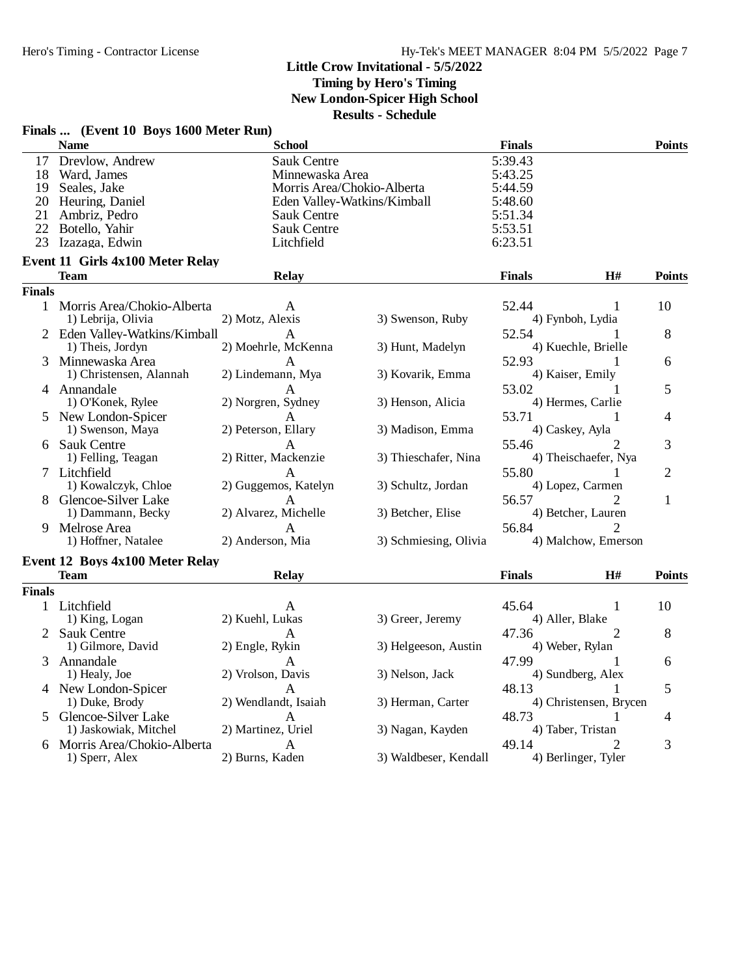#### **Little Crow Invitational - 5/5/2022 Timing by Hero's Timing**

**New London-Spicer High School**

|               | Finals  (Event 10 Boys 1600 Meter Run) |                            |                             |                 |                        |                |
|---------------|----------------------------------------|----------------------------|-----------------------------|-----------------|------------------------|----------------|
|               | <b>Name</b>                            | <b>School</b>              |                             | <b>Finals</b>   |                        | <b>Points</b>  |
|               | 17 Drevlow, Andrew                     | <b>Sauk Centre</b>         |                             | 5:39.43         |                        |                |
|               | 18 Ward, James                         | Minnewaska Area            |                             | 5:43.25         |                        |                |
| 19            | Seales, Jake                           | Morris Area/Chokio-Alberta |                             | 5:44.59         |                        |                |
| 20            | Heuring, Daniel                        |                            | Eden Valley-Watkins/Kimball | 5:48.60         |                        |                |
| 21            | Ambriz, Pedro                          | <b>Sauk Centre</b>         |                             | 5:51.34         |                        |                |
| 22            | Botello, Yahir                         | <b>Sauk Centre</b>         |                             | 5:53.51         |                        |                |
| 23            | Izazaga, Edwin                         | Litchfield                 |                             | 6:23.51         |                        |                |
|               | Event 11 Girls 4x100 Meter Relay       |                            |                             |                 |                        |                |
|               | Team                                   | <b>Relay</b>               |                             | <b>Finals</b>   | H#                     | <b>Points</b>  |
| <b>Finals</b> |                                        |                            |                             |                 |                        |                |
|               | 1 Morris Area/Chokio-Alberta           | A                          |                             | 52.44           | 1                      | 10             |
|               | 1) Lebrija, Olivia                     | 2) Motz, Alexis            | 3) Swenson, Ruby            |                 | 4) Fynboh, Lydia       |                |
|               | 2 Eden Valley-Watkins/Kimball          | A                          |                             | 52.54           | 1                      | 8              |
|               | 1) Theis, Jordyn                       | 2) Moehrle, McKenna        | 3) Hunt, Madelyn            |                 | 4) Kuechle, Brielle    |                |
|               | 3 Minnewaska Area                      | A                          |                             | 52.93           | 1                      | 6              |
|               | 1) Christensen, Alannah                | 2) Lindemann, Mya          | 3) Kovarik, Emma            |                 | 4) Kaiser, Emily       |                |
|               | 4 Annandale                            | А                          |                             | 53.02           |                        | 5              |
|               | 1) O'Konek, Rylee                      | 2) Norgren, Sydney         | 3) Henson, Alicia           |                 | 4) Hermes, Carlie      |                |
|               | 5 New London-Spicer                    | A                          |                             | 53.71           | 1                      | $\overline{4}$ |
|               | 1) Swenson, Maya                       | 2) Peterson, Ellary        | 3) Madison, Emma            |                 | 4) Caskey, Ayla        |                |
|               | 6 Sauk Centre                          | A                          |                             | 55.46           | 2                      | 3              |
|               | 1) Felling, Teagan                     | 2) Ritter, Mackenzie       | 3) Thieschafer, Nina        |                 | 4) Theischaefer, Nya   |                |
|               | 7 Litchfield                           | A                          |                             | 55.80           | 1                      | $\overline{2}$ |
|               | 1) Kowalczyk, Chloe                    | 2) Guggemos, Katelyn       | 3) Schultz, Jordan          |                 | 4) Lopez, Carmen       |                |
|               | 8 Glencoe-Silver Lake                  | A                          |                             | 56.57           | 2                      | $\mathbf{1}$   |
|               | 1) Dammann, Becky                      | 2) Alvarez, Michelle       | 3) Betcher, Elise           |                 | 4) Betcher, Lauren     |                |
| 9             | Melrose Area                           | A                          |                             | 56.84           |                        |                |
|               | 1) Hoffner, Natalee                    | 2) Anderson, Mia           | 3) Schmiesing, Olivia       |                 | 4) Malchow, Emerson    |                |
|               |                                        |                            |                             |                 |                        |                |
|               | <b>Event 12 Boys 4x100 Meter Relay</b> |                            |                             |                 |                        |                |
|               | Team                                   | <b>Relay</b>               |                             | <b>Finals</b>   | H#                     | <b>Points</b>  |
| <b>Finals</b> |                                        |                            |                             |                 |                        |                |
|               | 1 Litchfield                           | A                          |                             | 45.64           | 1                      | 10             |
|               | 1) King, Logan                         | 2) Kuehl, Lukas            | 3) Greer, Jeremy            | 4) Aller, Blake |                        |                |
| 2             | <b>Sauk Centre</b>                     | A                          |                             | 47.36           | 2                      | 8              |
|               | 1) Gilmore, David                      | 2) Engle, Rykin            | 3) Helgeeson, Austin        |                 | 4) Weber, Rylan        |                |
| 3             | Annandale                              | A                          |                             | 47.99           | 1                      | 6              |
|               | 1) Healy, Joe                          | 2) Vrolson, Davis          | 3) Nelson, Jack             |                 | 4) Sundberg, Alex      |                |
|               | 4 New London-Spicer                    | A                          |                             | 48.13           |                        | 5              |
|               | 1) Duke, Brody                         | 2) Wendlandt, Isaiah       | 3) Herman, Carter           |                 | 4) Christensen, Brycen |                |
| 5             | Glencoe-Silver Lake                    | A                          |                             | 48.73           | 1                      | 4              |
|               | 1) Jaskowiak, Mitchel                  | 2) Martinez, Uriel         | 3) Nagan, Kayden            |                 | 4) Taber, Tristan      |                |
| 6             | Morris Area/Chokio-Alberta             | A                          |                             | 49.14           | 2                      | 3              |
|               | 1) Sperr, Alex                         | 2) Burns, Kaden            | 3) Waldbeser, Kendall       |                 | 4) Berlinger, Tyler    |                |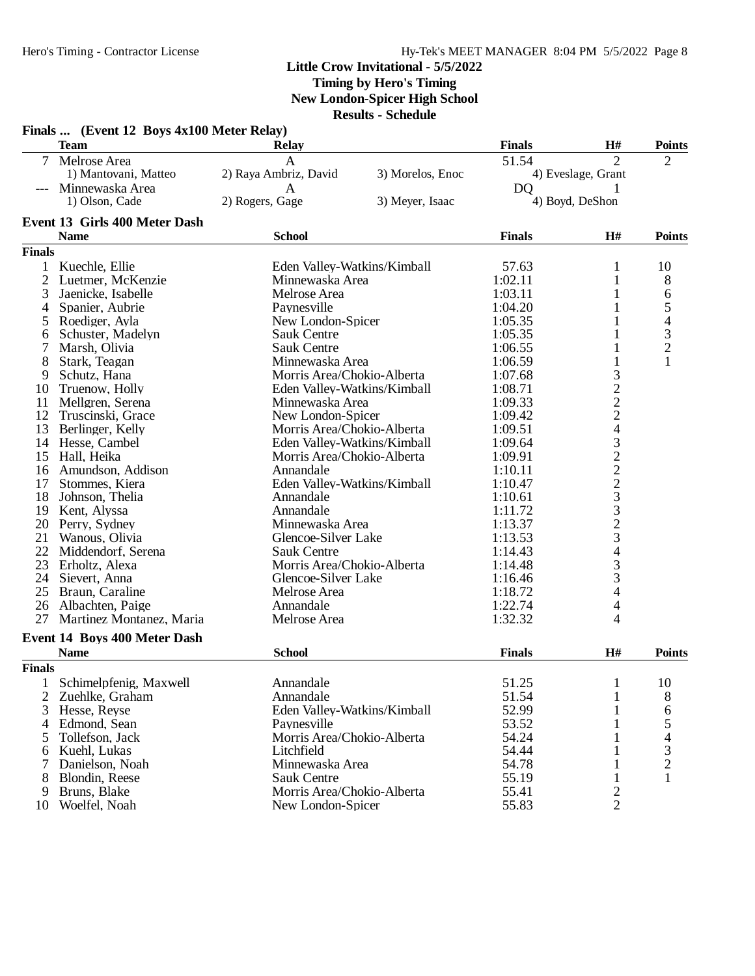**Timing by Hero's Timing**

**New London-Spicer High School**

|                | Finals  (Event 12 Boys 4x100 Meter Relay) |                             |                  |                |                       |                                                 |
|----------------|-------------------------------------------|-----------------------------|------------------|----------------|-----------------------|-------------------------------------------------|
|                | <b>Team</b>                               | <b>Relay</b>                |                  | <b>Finals</b>  | H#                    | <b>Points</b>                                   |
| $7^{\circ}$    | Melrose Area                              | A                           |                  | 51.54          | $\overline{2}$        | $\overline{2}$                                  |
|                | 1) Mantovani, Matteo                      | 2) Raya Ambriz, David       | 3) Morelos, Enoc |                | 4) Eveslage, Grant    |                                                 |
|                | Minnewaska Area                           | A                           |                  | D <sub>Q</sub> |                       |                                                 |
|                | 1) Olson, Cade                            | 2) Rogers, Gage             | 3) Meyer, Isaac  |                | 4) Boyd, DeShon       |                                                 |
|                | Event 13 Girls 400 Meter Dash             |                             |                  |                |                       |                                                 |
|                | <b>Name</b>                               | <b>School</b>               |                  | <b>Finals</b>  | H#                    | <b>Points</b>                                   |
| <b>Finals</b>  |                                           |                             |                  |                |                       |                                                 |
| $\mathbf{1}$   | Kuechle, Ellie                            | Eden Valley-Watkins/Kimball |                  | 57.63          | 1                     | 10                                              |
| $\overline{c}$ | Luetmer, McKenzie                         | Minnewaska Area             |                  | 1:02.11        | 1                     | 8                                               |
| 3              | Jaenicke, Isabelle                        | Melrose Area                |                  | 1:03.11        | 1                     | 6                                               |
| 4              | Spanier, Aubrie                           | Paynesville                 |                  | 1:04.20        |                       |                                                 |
|                | Roediger, Ayla                            | New London-Spicer           |                  | 1:05.35        | 1                     | 54321                                           |
| 6              | Schuster, Madelyn                         | <b>Sauk Centre</b>          |                  | 1:05.35        | 1                     |                                                 |
| 7              | Marsh, Olivia                             | <b>Sauk Centre</b>          |                  | 1:06.55        | 1                     |                                                 |
| 8              | Stark, Teagan                             | Minnewaska Area             |                  | 1:06.59        | 1                     |                                                 |
| 9              | Schutz, Hana                              | Morris Area/Chokio-Alberta  |                  | 1:07.68        |                       |                                                 |
| 10             | Truenow, Holly                            | Eden Valley-Watkins/Kimball |                  | 1:08.71        | 3<br>2<br>2<br>2<br>4 |                                                 |
| 11             | Mellgren, Serena                          | Minnewaska Area             |                  | 1:09.33        |                       |                                                 |
| 12             | Truscinski, Grace                         | New London-Spicer           |                  | 1:09.42        |                       |                                                 |
| 13             | Berlinger, Kelly                          | Morris Area/Chokio-Alberta  |                  | 1:09.51        |                       |                                                 |
|                | 14 Hesse, Cambel                          | Eden Valley-Watkins/Kimball |                  | 1:09.64        |                       |                                                 |
| 15             | Hall, Heika                               | Morris Area/Chokio-Alberta  |                  | 1:09.91        | $32223$<br>$3323$     |                                                 |
| 16             | Amundson, Addison                         | Annandale                   |                  | 1:10.11        |                       |                                                 |
| 17             | Stommes, Kiera                            | Eden Valley-Watkins/Kimball |                  | 1:10.47        |                       |                                                 |
| 18             | Johnson, Thelia                           | Annandale                   |                  | 1:10.61        |                       |                                                 |
| 19             | Kent, Alyssa                              | Annandale                   |                  | 1:11.72        |                       |                                                 |
|                | 20 Perry, Sydney                          | Minnewaska Area             |                  | 1:13.37        |                       |                                                 |
| 21             | Wanous, Olivia                            | Glencoe-Silver Lake         |                  | 1:13.53        |                       |                                                 |
| 22             | Middendorf, Serena                        | <b>Sauk Centre</b>          |                  | 1:14.43        | $\frac{4}{3}$         |                                                 |
| 23             | Erholtz, Alexa                            | Morris Area/Chokio-Alberta  |                  | 1:14.48        |                       |                                                 |
| 24             | Sievert, Anna                             | Glencoe-Silver Lake         |                  | 1:16.46        | 3                     |                                                 |
| 25             | Braun, Caraline                           | Melrose Area                |                  | 1:18.72        | 4                     |                                                 |
|                | 26 Albachten, Paige                       | Annandale                   |                  | 1:22.74        | 4                     |                                                 |
| 27             | Martinez Montanez, Maria                  | Melrose Area                |                  | 1:32.32        | 4                     |                                                 |
|                | <b>Event 14 Boys 400 Meter Dash</b>       |                             |                  |                |                       |                                                 |
|                | <b>Name</b>                               | <b>School</b>               |                  | <b>Finals</b>  | H#                    | <b>Points</b>                                   |
| <b>Finals</b>  |                                           |                             |                  |                |                       |                                                 |
|                | Schimelpfenig, Maxwell                    | Annandale                   |                  | 51.25          | 1                     | 10                                              |
| 2              | Zuehlke, Graham                           | Annandale                   |                  | 51.54          | 1                     | 8                                               |
| 3              | Hesse, Reyse                              | Eden Valley-Watkins/Kimball |                  | 52.99          | 1                     | 6                                               |
| 4              | Edmond, Sean                              | Paynesville                 |                  | 53.52          |                       |                                                 |
| 5              | Tollefson, Jack                           | Morris Area/Chokio-Alberta  |                  | 54.24          |                       |                                                 |
| 6              | Kuehl, Lukas                              | Litchfield                  |                  | 54.44          |                       | $\begin{array}{c} 5 \\ 4 \\ 3 \\ 2 \end{array}$ |
| 7              | Danielson, Noah                           | Minnewaska Area             |                  | 54.78          | 1                     |                                                 |
| 8              | Blondin, Reese                            | Sauk Centre                 |                  | 55.19          | $\mathbf{1}$          | $\mathbf{1}$                                    |
| 9              | Bruns, Blake                              | Morris Area/Chokio-Alberta  |                  | 55.41          | $\overline{c}$        |                                                 |
| 10             | Woelfel, Noah                             | New London-Spicer           |                  | 55.83          | $\overline{2}$        |                                                 |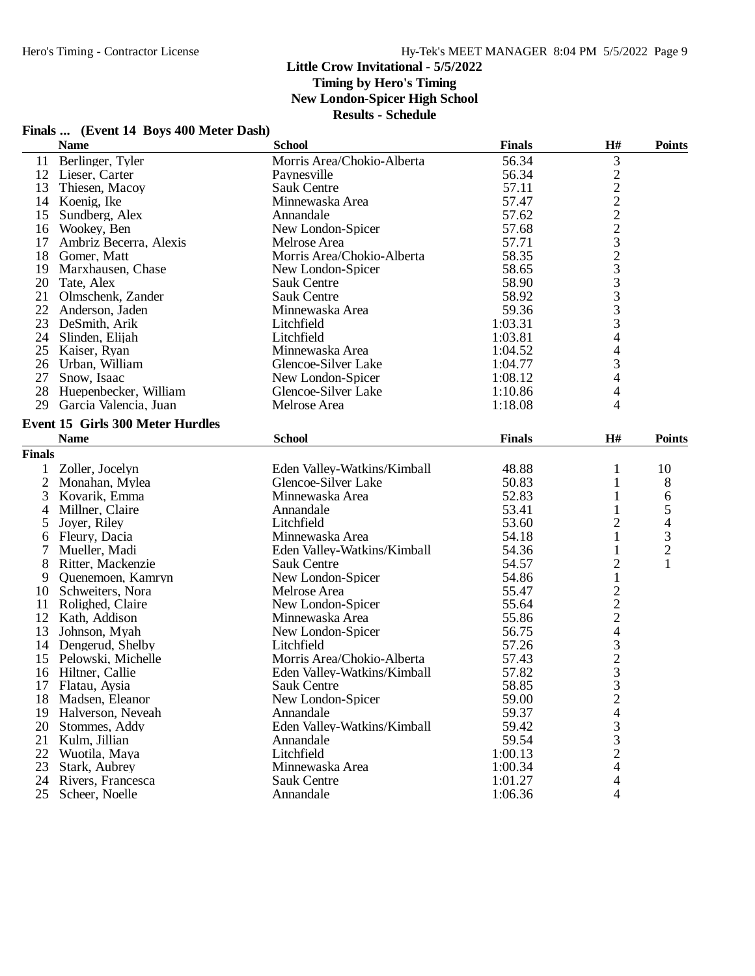**Timing by Hero's Timing**

**New London-Spicer High School**

| Finals  (Event 14 Boys 400 Meter Dash) |  |  |  |  |  |
|----------------------------------------|--|--|--|--|--|
|----------------------------------------|--|--|--|--|--|

|               | <b>Name</b>                             | <b>School</b>               | <b>Finals</b> | H#                                         | <b>Points</b>            |
|---------------|-----------------------------------------|-----------------------------|---------------|--------------------------------------------|--------------------------|
| 11            | Berlinger, Tyler                        | Morris Area/Chokio-Alberta  | 56.34         | 3                                          |                          |
|               | 12 Lieser, Carter                       | Paynesville                 | 56.34         |                                            |                          |
| 13            | Thiesen, Macoy                          | Sauk Centre                 | 57.11         |                                            |                          |
| 14            | Koenig, Ike                             | Minnewaska Area             | 57.47         | 22223233333                                |                          |
| 15            | Sundberg, Alex                          | Annandale                   | 57.62         |                                            |                          |
| 16            | Wookey, Ben                             | New London-Spicer           | 57.68         |                                            |                          |
| 17            | Ambriz Becerra, Alexis                  | Melrose Area                | 57.71         |                                            |                          |
| 18            | Gomer, Matt                             | Morris Area/Chokio-Alberta  | 58.35         |                                            |                          |
| 19            | Marxhausen, Chase                       | New London-Spicer           | 58.65         |                                            |                          |
| 20            | Tate, Alex                              | Sauk Centre                 | 58.90         |                                            |                          |
| 21            | Olmschenk, Zander                       | <b>Sauk Centre</b>          | 58.92         |                                            |                          |
| 22            | Anderson, Jaden                         | Minnewaska Area             | 59.36         |                                            |                          |
|               | 23 DeSmith, Arik                        | Litchfield                  | 1:03.31       |                                            |                          |
|               | 24 Slinden, Elijah                      | Litchfield                  | 1:03.81       | $\overline{4}$                             |                          |
| 25            | Kaiser, Ryan                            | Minnewaska Area             | 1:04.52       | 4                                          |                          |
| 26            | Urban, William                          | Glencoe-Silver Lake         | 1:04.77       | 3                                          |                          |
| 27            | Snow, Isaac                             | New London-Spicer           | 1:08.12       | $\overline{\mathcal{L}}$                   |                          |
| 28            | Huepenbecker, William                   | Glencoe-Silver Lake         | 1:10.86       | 4                                          |                          |
| 29            | Garcia Valencia, Juan                   | Melrose Area                | 1:18.08       | 4                                          |                          |
|               | <b>Event 15 Girls 300 Meter Hurdles</b> |                             |               |                                            |                          |
|               |                                         |                             |               |                                            |                          |
|               | <b>Name</b>                             | <b>School</b>               | <b>Finals</b> | $\mathbf{H}$ #                             | <b>Points</b>            |
| <b>Finals</b> |                                         |                             |               |                                            |                          |
| $\mathbf{1}$  | Zoller, Jocelyn                         | Eden Valley-Watkins/Kimball | 48.88         | $\mathbf{1}$                               | 10                       |
| 2             | Monahan, Mylea                          | Glencoe-Silver Lake         | 50.83         | 1                                          | 8                        |
| 3             | Kovarik, Emma                           | Minnewaska Area             | 52.83         | $\mathbf{1}$                               | 6                        |
| 4             | Millner, Claire                         | Annandale                   | 53.41         | 1                                          | $\mathfrak s$            |
| 5             | Joyer, Riley                            | Litchfield                  | 53.60         | $\overline{c}$                             | $\overline{\mathcal{L}}$ |
| 6             | Fleury, Dacia                           | Minnewaska Area             | 54.18         | 1                                          | $\frac{3}{2}$            |
| 7             | Mueller, Madi                           | Eden Valley-Watkins/Kimball | 54.36         | 1                                          |                          |
| 8             | Ritter, Mackenzie                       | <b>Sauk Centre</b>          | 54.57         | $\overline{c}$                             | $\mathbf{1}$             |
| 9             | Quenemoen, Kamryn                       | New London-Spicer           | 54.86         | $\mathbf{1}$                               |                          |
| 10            | Schweiters, Nora                        | Melrose Area                | 55.47         |                                            |                          |
| 11            | Rolighed, Claire                        | New London-Spicer           | 55.64         |                                            |                          |
|               | 12 Kath, Addison                        | Minnewaska Area             | 55.86         |                                            |                          |
| 13            | Johnson, Myah                           | New London-Spicer           | 56.75         |                                            |                          |
| 14            | Dengerud, Shelby                        | Litchfield                  | 57.26         |                                            |                          |
| 15            | Pelowski, Michelle                      | Morris Area/Chokio-Alberta  | 57.43         |                                            |                          |
| 16            | Hiltner, Callie                         | Eden Valley-Watkins/Kimball | 57.82         | 22243233                                   |                          |
| 17            | Flatau, Aysia                           | <b>Sauk Centre</b>          | 58.85         |                                            |                          |
| 18            | Madsen, Eleanor                         | New London-Spicer           | 59.00         | $\overline{\mathbf{c}}$                    |                          |
| 19            | Halverson, Neveah                       | Annandale                   | 59.37         | $\overline{\mathcal{L}}$                   |                          |
| 20            | Stommes, Addy                           | Eden Valley-Watkins/Kimball | 59.42         | $\begin{array}{c} 3 \\ 3 \\ 2 \end{array}$ |                          |
| 21            | Kulm, Jillian                           | Annandale                   | 59.54         |                                            |                          |
| 22            | Wuotila, Maya                           | Litchfield                  | 1:00.13       |                                            |                          |
| 23            | Stark, Aubrey                           | Minnewaska Area             | 1:00.34       | 4                                          |                          |
|               | 24 Rivers, Francesca                    | Sauk Centre                 | 1:01.27       | 4                                          |                          |
| 25            | Scheer, Noelle                          | Annandale                   | 1:06.36       | 4                                          |                          |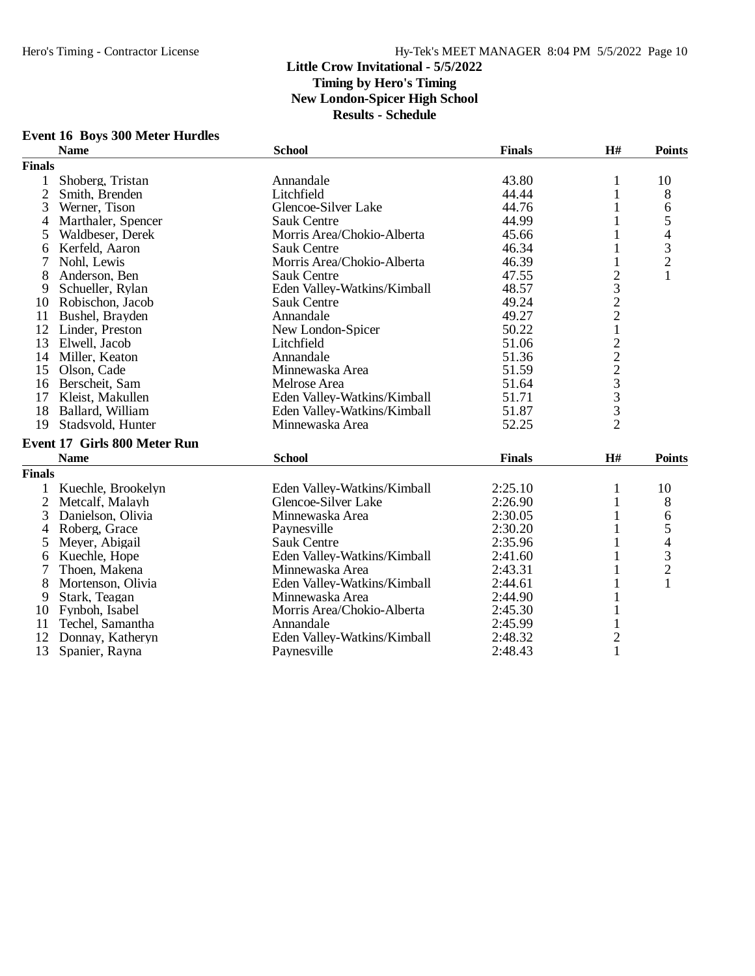|                | <b>EVENT TO BOYS 500 METER HUTGHES</b> |                             |               |                 |                                                 |
|----------------|----------------------------------------|-----------------------------|---------------|-----------------|-------------------------------------------------|
|                | <b>Name</b>                            | <b>School</b>               | <b>Finals</b> | H#              | <b>Points</b>                                   |
| <b>Finals</b>  |                                        |                             |               |                 |                                                 |
| 1              | Shoberg, Tristan                       | Annandale                   | 43.80         | 1               | 10                                              |
| $\overline{c}$ | Smith, Brenden                         | Litchfield                  | 44.44         | 1               | 8                                               |
| 3              | Werner, Tison                          | Glencoe-Silver Lake         | 44.76         | 1               | 6                                               |
| 4              | Marthaler, Spencer                     | <b>Sauk Centre</b>          | 44.99         | 1               | 5                                               |
| 5              | Waldbeser, Derek                       | Morris Area/Chokio-Alberta  | 45.66         | 1               | $\overline{\mathcal{A}}$                        |
| 6              | Kerfeld, Aaron                         | <b>Sauk Centre</b>          | 46.34         | 1               | $\begin{array}{c} 3 \\ 2 \\ 1 \end{array}$      |
|                | Nohl, Lewis                            | Morris Area/Chokio-Alberta  | 46.39         | 1               |                                                 |
| 8              | Anderson, Ben                          | <b>Sauk Centre</b>          | 47.55         | $\overline{c}$  |                                                 |
| 9              | Schueller, Rylan                       | Eden Valley-Watkins/Kimball | 48.57         | 3               |                                                 |
| 10             | Robischon, Jacob                       | <b>Sauk Centre</b>          | 49.24         | $\overline{c}$  |                                                 |
| 11             | Bushel, Brayden                        | Annandale                   | 49.27         | $\overline{c}$  |                                                 |
| 12             | Linder, Preston                        | New London-Spicer           | 50.22         | $\,1$           |                                                 |
| 13             | Elwell, Jacob                          | Litchfield                  | 51.06         |                 |                                                 |
|                | 14 Miller, Keaton                      | Annandale                   | 51.36         |                 |                                                 |
| 15             | Olson, Cade                            | Minnewaska Area             | 51.59         | $22233$<br>$33$ |                                                 |
| 16             | Berscheit, Sam                         | Melrose Area                | 51.64         |                 |                                                 |
| 17             | Kleist, Makullen                       | Eden Valley-Watkins/Kimball | 51.71         |                 |                                                 |
|                | 18 Ballard, William                    | Eden Valley-Watkins/Kimball | 51.87         |                 |                                                 |
| 19             | Stadsvold, Hunter                      | Minnewaska Area             | 52.25         | $\overline{2}$  |                                                 |
|                | <b>Event 17 Girls 800 Meter Run</b>    |                             |               |                 |                                                 |
|                | <b>Name</b>                            | <b>School</b>               | <b>Finals</b> | $\mathbf{H}$ #  | <b>Points</b>                                   |
| <b>Finals</b>  |                                        |                             |               |                 |                                                 |
| $\mathbf{1}$   | Kuechle, Brookelyn                     | Eden Valley-Watkins/Kimball | 2:25.10       | 1               | 10                                              |
| 2              | Metcalf, Malayh                        | Glencoe-Silver Lake         | 2:26.90       | 1               | 8                                               |
| 3              | Danielson, Olivia                      | Minnewaska Area             | 2:30.05       | 1               | 6                                               |
| 4              | Roberg, Grace                          | Paynesville                 | 2:30.20       |                 | 5                                               |
| 5              | Meyer, Abigail                         | <b>Sauk Centre</b>          | 2:35.96       |                 |                                                 |
| 6              | Kuechle, Hope                          | Eden Valley-Watkins/Kimball | 2:41.60       |                 |                                                 |
| 7              | Thoen, Makena                          | Minnewaska Area             | 2:43.31       | 1               |                                                 |
| 8              | Mortenson, Olivia                      | Eden Valley-Watkins/Kimball | 2:44.61       | 1               | $\begin{array}{c} 4 \\ 3 \\ 2 \\ 1 \end{array}$ |
| 9              | Stark, Teagan                          | Minnewaska Area             | 2:44.90       | 1               |                                                 |
| 10             | Fynboh, Isabel                         | Morris Area/Chokio-Alberta  | 2:45.30       | $\mathbf{1}$    |                                                 |
| 11             | Techel, Samantha                       | Annandale                   | 2:45.99       | 1               |                                                 |
| 12             | Donnay, Katheryn                       | Eden Valley-Watkins/Kimball | 2:48.32       | $\mathbf{2}$    |                                                 |
| 13             | Spanier, Rayna                         | Paynesville                 | 2:48.43       | $\mathbf{1}$    |                                                 |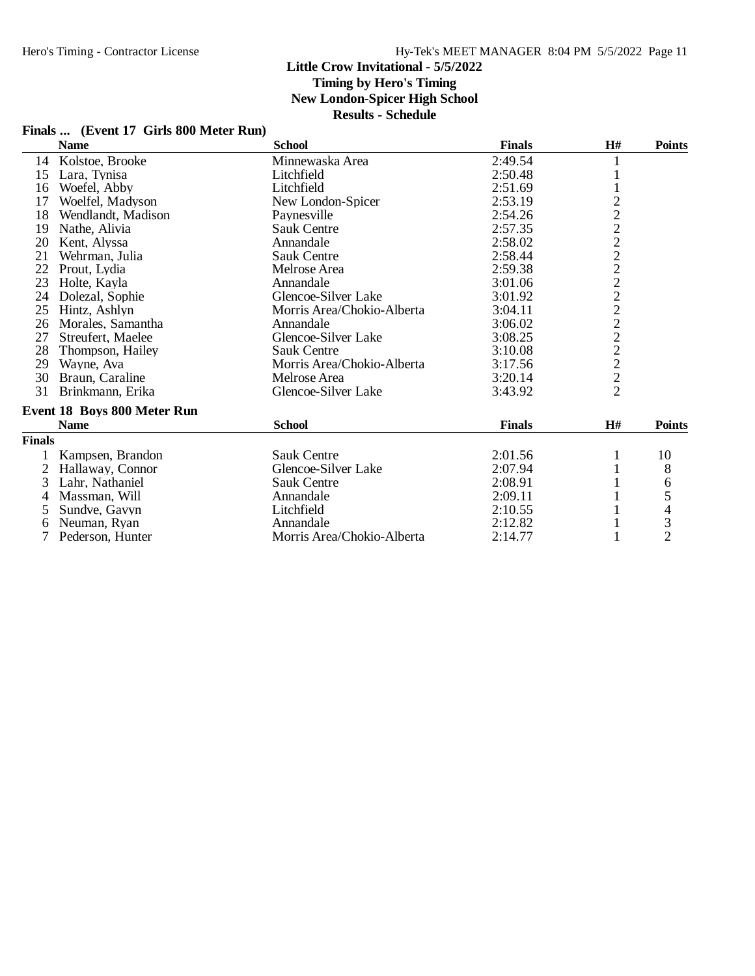# **Timing by Hero's Timing**

**New London-Spicer High School**

|  | Finals  (Event 17 Girls 800 Meter Run) |
|--|----------------------------------------|
|--|----------------------------------------|

|               | <b>Name</b>                        | <b>School</b>              | <b>Finals</b> | H#             | <b>Points</b>  |
|---------------|------------------------------------|----------------------------|---------------|----------------|----------------|
| 14            | Kolstoe, Brooke                    | Minnewaska Area            | 2:49.54       |                |                |
| 15            | Lara, Tynisa                       | Litchfield                 | 2:50.48       |                |                |
| 16            | Woefel, Abby                       | Litchfield                 | 2:51.69       |                |                |
| 17            | Woelfel, Madyson                   | New London-Spicer          | 2:53.19       |                |                |
| 18            | Wendlandt, Madison                 | Paynesville                | 2:54.26       | 22222222222222 |                |
| 19            | Nathe, Alivia                      | <b>Sauk Centre</b>         | 2:57.35       |                |                |
| 20            | Kent, Alyssa                       | Annandale                  | 2:58.02       |                |                |
| 21            | Wehrman, Julia                     | <b>Sauk Centre</b>         | 2:58.44       |                |                |
| 22            | Prout, Lydia                       | Melrose Area               | 2:59.38       |                |                |
| 23            | Holte, Kayla                       | Annandale                  | 3:01.06       |                |                |
| 24            | Dolezal, Sophie                    | Glencoe-Silver Lake        | 3:01.92       |                |                |
| 25            | Hintz, Ashlyn                      | Morris Area/Chokio-Alberta | 3:04.11       |                |                |
| 26            | Morales, Samantha                  | Annandale                  | 3:06.02       |                |                |
| 27            | Streufert, Maelee                  | Glencoe-Silver Lake        | 3:08.25       |                |                |
| 28            | Thompson, Hailey                   | <b>Sauk Centre</b>         | 3:10.08       |                |                |
| 29            | Wayne, Ava                         | Morris Area/Chokio-Alberta | 3:17.56       |                |                |
| 30            | Braun, Caraline                    | Melrose Area               | 3:20.14       |                |                |
| 31            | Brinkmann, Erika                   | Glencoe-Silver Lake        | 3:43.92       |                |                |
|               | <b>Event 18 Boys 800 Meter Run</b> |                            |               |                |                |
|               | <b>Name</b>                        | <b>School</b>              | <b>Finals</b> | H#             | <b>Points</b>  |
| <b>Finals</b> |                                    |                            |               |                |                |
|               | Kampsen, Brandon                   | <b>Sauk Centre</b>         | 2:01.56       |                | 10             |
| 2             | Hallaway, Connor                   | Glencoe-Silver Lake        | 2:07.94       |                | 8              |
| 3             | Lahr, Nathaniel                    | <b>Sauk Centre</b>         | 2:08.91       |                | 6              |
| 4             | Massman, Will                      | Annandale                  | 2:09.11       |                | 5              |
| 5             | Sundve, Gavyn                      | Litchfield                 | 2:10.55       |                | $rac{4}{3}$    |
| 6             | Neuman, Ryan                       | Annandale                  | 2:12.82       |                |                |
| 7             | Pederson, Hunter                   | Morris Area/Chokio-Alberta | 2:14.77       |                | $\overline{2}$ |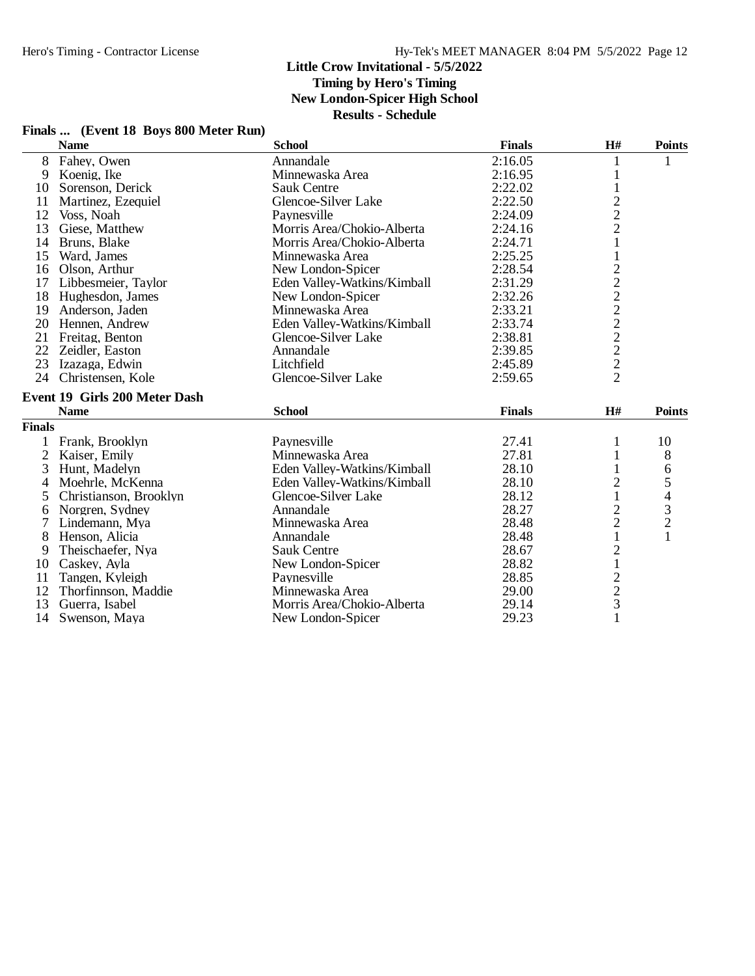**Timing by Hero's Timing**

**New London-Spicer High School**

| Finals | (Event 18 Boys 800 Meter Run) |  |  |
|--------|-------------------------------|--|--|
|        |                               |  |  |

|                | Finals  (Event 18 Boys 800 Meter Run) |                             |               |                                                 |                |
|----------------|---------------------------------------|-----------------------------|---------------|-------------------------------------------------|----------------|
|                | <b>Name</b>                           | <b>School</b>               | <b>Finals</b> | H#                                              | <b>Points</b>  |
| 8              | Fahey, Owen                           | Annandale                   | 2:16.05       | 1                                               | 1              |
| 9              | Koenig, Ike                           | Minnewaska Area             | 2:16.95       | 1                                               |                |
| 10             | Sorenson, Derick                      | <b>Sauk Centre</b>          | 2:22.02       | $\mathbf 1$                                     |                |
| 11             | Martinez, Ezequiel                    | Glencoe-Silver Lake         | 2:22.50       |                                                 |                |
| 12             | Voss, Noah                            | Paynesville                 | 2:24.09       |                                                 |                |
| 13             | Giese, Matthew                        | Morris Area/Chokio-Alberta  | 2:24.16       | $\begin{array}{c} 2 \\ 2 \\ 2 \\ 1 \end{array}$ |                |
| 14             | Bruns, Blake                          | Morris Area/Chokio-Alberta  | 2:24.71       |                                                 |                |
| 15             | Ward, James                           | Minnewaska Area             | 2:25.25       | $\mathbf 1$                                     |                |
| 16             | Olson, Arthur                         | New London-Spicer           | 2:28.54       |                                                 |                |
| 17             | Libbesmeier, Taylor                   | Eden Valley-Watkins/Kimball | 2:31.29       |                                                 |                |
| 18             | Hughesdon, James                      | New London-Spicer           | 2:32.26       |                                                 |                |
| 19             | Anderson, Jaden                       | Minnewaska Area             | 2:33.21       |                                                 |                |
| 20             | Hennen, Andrew                        | Eden Valley-Watkins/Kimball | 2:33.74       | 22222222                                        |                |
| 21             | Freitag, Benton                       | Glencoe-Silver Lake         | 2:38.81       |                                                 |                |
| 22             | Zeidler, Easton                       | Annandale                   | 2:39.85       |                                                 |                |
| 23             | Izazaga, Edwin                        | Litchfield                  | 2:45.89       |                                                 |                |
| 24             | Christensen, Kole                     | Glencoe-Silver Lake         | 2:59.65       |                                                 |                |
|                | <b>Event 19 Girls 200 Meter Dash</b>  |                             |               |                                                 |                |
|                | <b>Name</b>                           | <b>School</b>               | <b>Finals</b> | H#                                              | <b>Points</b>  |
| <b>Finals</b>  |                                       |                             |               |                                                 |                |
| 1              | Frank, Brooklyn                       | Paynesville                 | 27.41         | 1                                               | 10             |
| $\overline{2}$ | Kaiser, Emily                         | Minnewaska Area             | 27.81         | $\mathbf{1}$                                    | 8              |
| 3              | Hunt, Madelyn                         | Eden Valley-Watkins/Kimball | 28.10         | 1                                               | 6              |
| 4              | Moehrle, McKenna                      | Eden Valley-Watkins/Kimball | 28.10         | $\overline{c}$                                  | 5              |
| 5              | Christianson, Brooklyn                | Glencoe-Silver Lake         | 28.12         | $\mathbf{1}$                                    | $\overline{4}$ |
| 6              | Norgren, Sydney                       | Annandale                   | 28.27         |                                                 | $\frac{3}{2}$  |
| 7              | Lindemann, Mya                        | Minnewaska Area             | 28.48         | $\frac{2}{2}$                                   |                |
| 8              | Henson, Alicia                        | Annandale                   | 28.48         | $\mathbf{1}$                                    |                |
| 9              | Theischaefer, Nya                     | <b>Sauk Centre</b>          | 28.67         |                                                 |                |
| 10             | Caskey, Ayla                          | New London-Spicer           | 28.82         | $\frac{2}{1}$                                   |                |
| 11             | Tangen, Kyleigh                       | Paynesville                 | 28.85         |                                                 |                |
| 12             | Thorfinnson, Maddie                   | Minnewaska Area             | 29.00         |                                                 |                |
| 13             | Guerra, Isabel                        | Morris Area/Chokio-Alberta  | 29.14         | $\frac{2}{3}$                                   |                |
| 14             | Swenson, Maya                         | New London-Spicer           | 29.23         | $\mathbf{1}$                                    |                |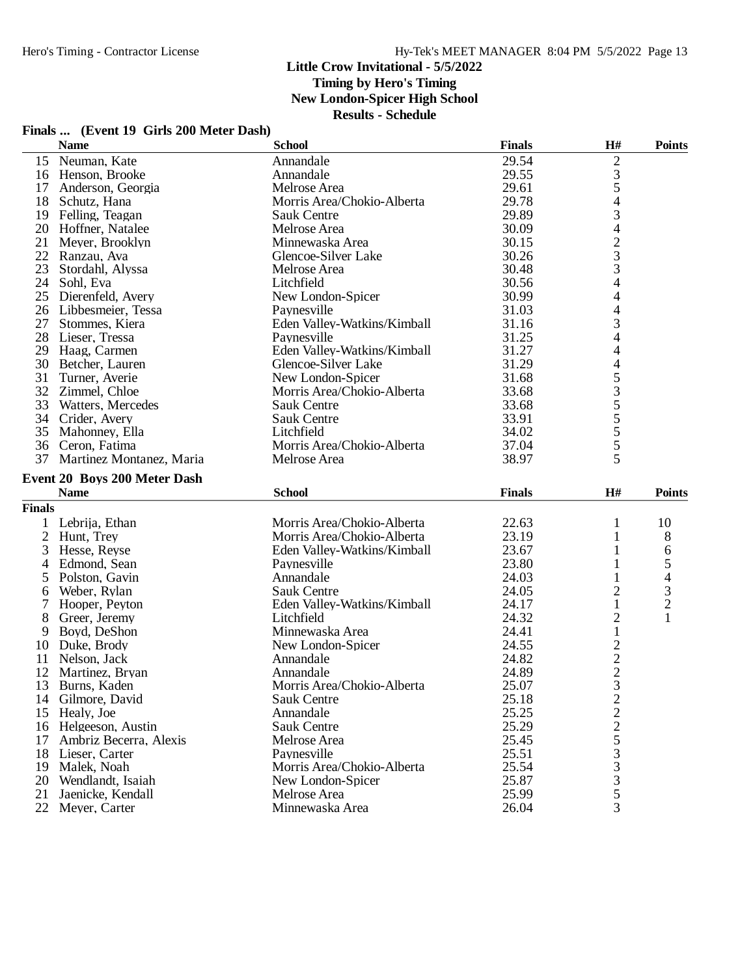**Timing by Hero's Timing**

**New London-Spicer High School**

|         | Finals  (Event 19 Girls 200 Meter Dash) |                                            |     |                       |
|---------|-----------------------------------------|--------------------------------------------|-----|-----------------------|
| $N = 1$ | $C - L - L$                             | $\mathbf{E}$ , $\mathbf{E}$ , $\mathbf{E}$ | TTЩ | $\mathbf{D}_{\alpha}$ |

|               | <b>Name</b>                         | <b>School</b>                   | <b>Finals</b>  | H#                                         | <b>Points</b>            |
|---------------|-------------------------------------|---------------------------------|----------------|--------------------------------------------|--------------------------|
| 15            | Neuman, Kate                        | Annandale                       | 29.54          | $\overline{2}$                             |                          |
|               | 16 Henson, Brooke                   | Annandale                       | 29.55          |                                            |                          |
| 17            | Anderson, Georgia                   | Melrose Area                    | 29.61          | $\frac{3}{5}$                              |                          |
| 18            | Schutz, Hana                        | Morris Area/Chokio-Alberta      | 29.78          | 4                                          |                          |
|               | 19 Felling, Teagan                  | Sauk Centre                     | 29.89          | 3                                          |                          |
|               | 20 Hoffner, Natalee                 | Melrose Area                    | 30.09          | 4                                          |                          |
| 21            | Meyer, Brooklyn                     | Minnewaska Area                 | 30.15          |                                            |                          |
| 22            | Ranzau, Ava                         | Glencoe-Silver Lake             | 30.26          | $\frac{2}{3}$                              |                          |
| 23            | Stordahl, Alyssa                    | Melrose Area                    | 30.48          |                                            |                          |
| 24            | Sohl, Eva                           | Litchfield                      | 30.56          | 4                                          |                          |
| 25            | Dierenfeld, Avery                   | New London-Spicer               | 30.99          | 4                                          |                          |
|               | 26 Libbesmeier, Tessa               | Paynesville                     | 31.03          | $\overline{4}$                             |                          |
| 27            | Stommes, Kiera                      | Eden Valley-Watkins/Kimball     | 31.16          | 3                                          |                          |
| 28            | Lieser, Tressa                      | Paynesville                     | 31.25          | 4                                          |                          |
| 29            | Haag, Carmen                        | Eden Valley-Watkins/Kimball     | 31.27          | 4                                          |                          |
| 30            |                                     | Glencoe-Silver Lake             | 31.29          | 4                                          |                          |
|               | Betcher, Lauren                     |                                 |                |                                            |                          |
| 31            | Turner, Averie                      | New London-Spicer               | 31.68          | 5355555                                    |                          |
| 32            | Zimmel, Chloe                       | Morris Area/Chokio-Alberta      | 33.68          |                                            |                          |
| 33            | Watters, Mercedes                   | Sauk Centre                     | 33.68          |                                            |                          |
| 34            | Crider, Avery                       | <b>Sauk Centre</b>              | 33.91          |                                            |                          |
| 35            | Mahonney, Ella                      | Litchfield                      | 34.02          |                                            |                          |
| 36            | Ceron, Fatima                       | Morris Area/Chokio-Alberta      | 37.04          |                                            |                          |
| 37            | Martinez Montanez, Maria            | Melrose Area                    | 38.97          | 5                                          |                          |
|               | <b>Event 20 Boys 200 Meter Dash</b> |                                 |                |                                            |                          |
|               |                                     |                                 |                |                                            |                          |
|               | <b>Name</b>                         | <b>School</b>                   | <b>Finals</b>  | H#                                         | <b>Points</b>            |
|               |                                     |                                 |                |                                            |                          |
| <b>Finals</b> |                                     |                                 |                |                                            |                          |
| 1             | Lebrija, Ethan                      | Morris Area/Chokio-Alberta      | 22.63          | 1                                          | 10                       |
| 2             | Hunt, Trey                          | Morris Area/Chokio-Alberta      | 23.19          | 1                                          | 8                        |
| 3             | Hesse, Reyse                        | Eden Valley-Watkins/Kimball     | 23.67          | 1                                          | 6                        |
| 4             | Edmond, Sean                        | Paynesville                     | 23.80          | 1                                          | 5                        |
| 5             | Polston, Gavin                      | Annandale                       | 24.03          | 1                                          | $\overline{\mathcal{L}}$ |
| 6             | Weber, Rylan                        | <b>Sauk Centre</b>              | 24.05          | $\overline{\mathbf{c}}$                    |                          |
| 7             | Hooper, Peyton                      | Eden Valley-Watkins/Kimball     | 24.17          | $\mathbf{1}$                               | $\frac{3}{2}$            |
| 8             | Greer, Jeremy                       | Litchfield                      | 24.32          | $\overline{c}$                             | 1                        |
| 9             | Boyd, DeShon                        | Minnewaska Area                 | 24.41          | $\mathbf{1}$                               |                          |
| 10            | Duke, Brody                         | New London-Spicer               | 24.55          |                                            |                          |
| 11            | Nelson, Jack                        | Annandale                       | 24.82          |                                            |                          |
| 12            | Martinez, Bryan                     | Annandale                       | 24.89          |                                            |                          |
| 13            | Burns, Kaden                        | Morris Area/Chokio-Alberta      | 25.07          | $\begin{array}{c} 2 \\ 2 \\ 3 \end{array}$ |                          |
|               | 14 Gilmore, David                   | Sauk Centre                     | 25.18          | $\overline{\mathbf{c}}$                    |                          |
| 15            | Healy, Joe                          | Annandale                       | 25.25          |                                            |                          |
|               | 16 Helgeeson, Austin                | <b>Sauk Centre</b>              | 25.29          |                                            |                          |
| 17            | Ambriz Becerra, Alexis              | Melrose Area                    | 25.45          |                                            |                          |
|               | 18 Lieser, Carter                   | Paynesville                     | 25.51          |                                            |                          |
| 19            | Malek, Noah                         | Morris Area/Chokio-Alberta      | 25.54          |                                            |                          |
| 20            | Wendlandt, Isaiah                   | New London-Spicer               | 25.87          |                                            |                          |
| 21<br>22      | Jaenicke, Kendall<br>Meyer, Carter  | Melrose Area<br>Minnewaska Area | 25.99<br>26.04 | 2253335<br>3                               |                          |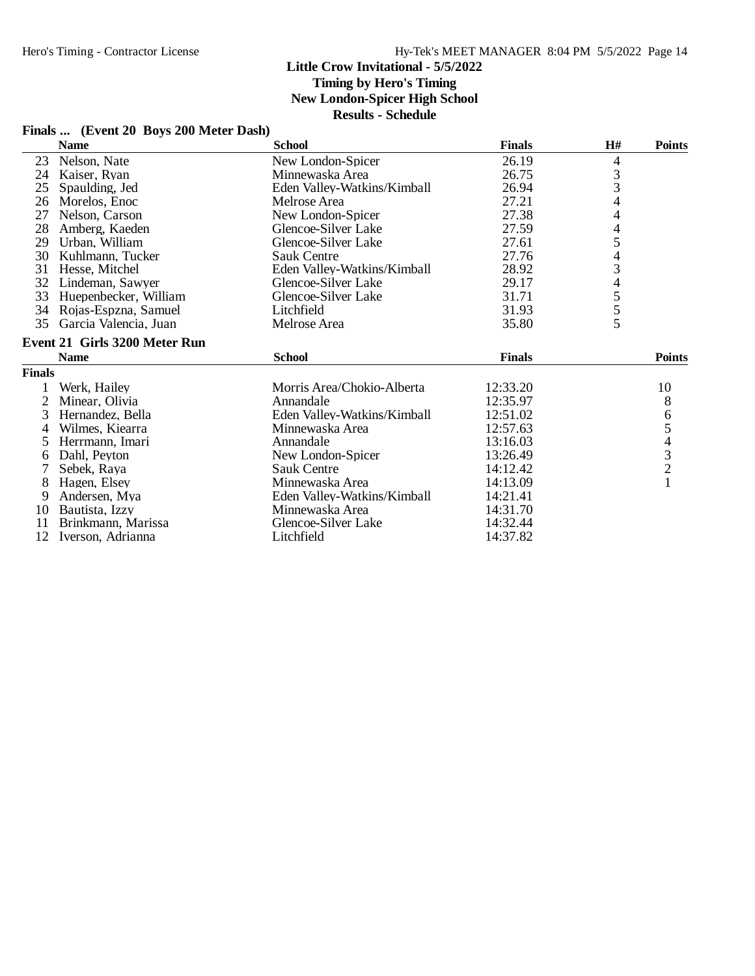# **Timing by Hero's Timing**

**New London-Spicer High School**

**Results - Schedule**

## **Finals ... (Event 20 Boys 200 Meter Dash)**

|               | <b>Name</b>                          | <b>School</b>               | <b>Finals</b> | H#                       | <b>Points</b>                                   |
|---------------|--------------------------------------|-----------------------------|---------------|--------------------------|-------------------------------------------------|
| 23            | Nelson, Nate                         | New London-Spicer           | 26.19         | 4                        |                                                 |
| 24            | Kaiser, Ryan                         | Minnewaska Area             | 26.75         |                          |                                                 |
| 25            | Spaulding, Jed                       | Eden Valley-Watkins/Kimball | 26.94         | $\frac{3}{3}$            |                                                 |
| 26            | Morelos, Enoc                        | Melrose Area                | 27.21         | $\overline{\mathcal{A}}$ |                                                 |
| 27            | Nelson, Carson                       | New London-Spicer           | 27.38         | 4                        |                                                 |
| 28            | Amberg, Kaeden                       | Glencoe-Silver Lake         | 27.59         | $\overline{4}$           |                                                 |
| 29            | Urban, William                       | Glencoe-Silver Lake         | 27.61         | 5                        |                                                 |
| 30            | Kuhlmann, Tucker                     | <b>Sauk Centre</b>          | 27.76         |                          |                                                 |
| 31            | Hesse, Mitchel                       | Eden Valley-Watkins/Kimball | 28.92         | $\frac{4}{3}$            |                                                 |
| 32            | Lindeman, Sawyer                     | Glencoe-Silver Lake         | 29.17         | $\overline{\mathcal{L}}$ |                                                 |
| 33            | Huepenbecker, William                | Glencoe-Silver Lake         | 31.71         |                          |                                                 |
| 34            | Rojas-Espzna, Samuel                 | Litchfield                  | 31.93         | $rac{5}{5}$              |                                                 |
| 35            | Garcia Valencia, Juan                | Melrose Area                | 35.80         | 5                        |                                                 |
|               | <b>Event 21 Girls 3200 Meter Run</b> |                             |               |                          |                                                 |
|               | <b>Name</b>                          | <b>School</b>               | <b>Finals</b> |                          | <b>Points</b>                                   |
| <b>Finals</b> |                                      |                             |               |                          |                                                 |
|               | Werk, Hailey                         | Morris Area/Chokio-Alberta  | 12:33.20      |                          | 10                                              |
| 2             | Minear, Olivia                       | Annandale                   | 12:35.97      |                          | 8                                               |
| 3             | Hernandez, Bella                     | Eden Valley-Watkins/Kimball | 12:51.02      |                          | 6                                               |
| 4             | Wilmes, Kiearra                      | Minnewaska Area             | 12:57.63      |                          | 5                                               |
| 5             | Herrmann, Imari                      | Annandale                   | 13:16.03      |                          |                                                 |
| 6             | Dahl, Peyton                         | New London-Spicer           | 13:26.49      |                          | $\begin{array}{c} 4 \\ 3 \\ 2 \\ 1 \end{array}$ |
| 7             | Sebek, Raya                          | <b>Sauk Centre</b>          | 14:12.42      |                          |                                                 |
| 8             | Hagen, Elsey                         | Minnewaska Area             | 14:13.09      |                          |                                                 |
| 9             | Andersen, Mya                        | Eden Valley-Watkins/Kimball | 14:21.41      |                          |                                                 |
| 10            | Bautista, Izzy                       | Minnewaska Area             | 14:31.70      |                          |                                                 |
| 11            | Brinkmann, Marissa                   | Glencoe-Silver Lake         | 14:32.44      |                          |                                                 |
| 12            | Iverson, Adrianna                    | Litchfield                  | 14:37.82      |                          |                                                 |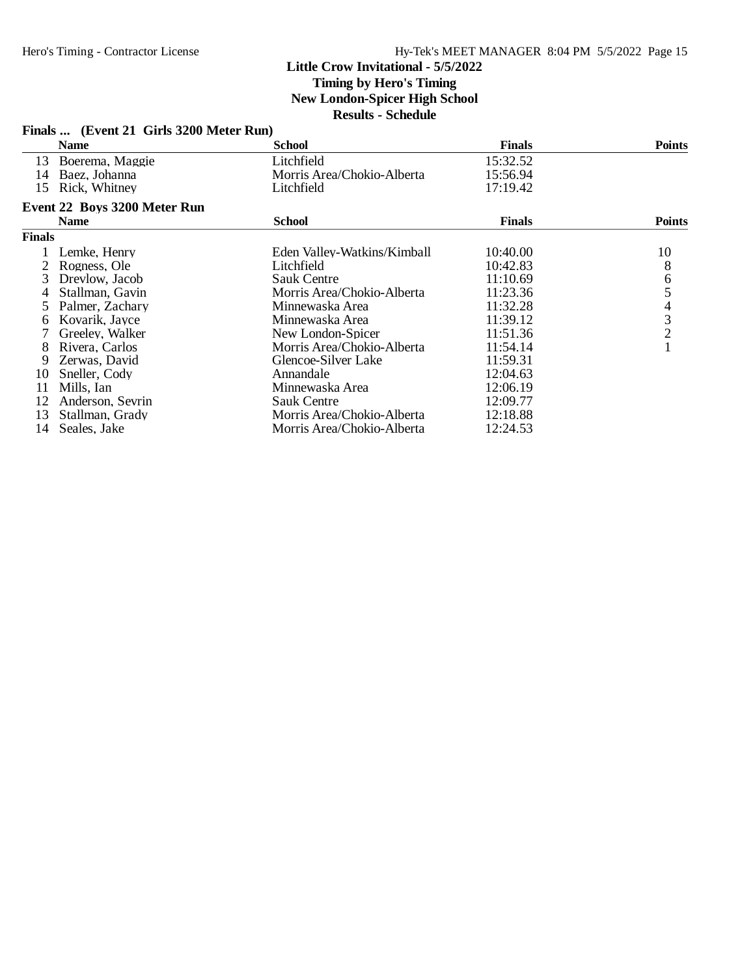# **Timing by Hero's Timing**

**New London-Spicer High School**

| Finals  (Event 21 Girls 3200 Meter Run) |                              |                             |               |               |  |  |
|-----------------------------------------|------------------------------|-----------------------------|---------------|---------------|--|--|
|                                         | <b>Name</b>                  | <b>School</b>               | <b>Finals</b> | <b>Points</b> |  |  |
| 13                                      | Boerema, Maggie              | Litchfield                  | 15:32.52      |               |  |  |
| 14                                      | Baez, Johanna                | Morris Area/Chokio-Alberta  | 15:56.94      |               |  |  |
| 15                                      | Rick, Whitney                | Litchfield                  | 17:19.42      |               |  |  |
|                                         | Event 22 Boys 3200 Meter Run |                             |               |               |  |  |
|                                         | <b>Name</b>                  | <b>School</b>               | <b>Finals</b> | <b>Points</b> |  |  |
| <b>Finals</b>                           |                              |                             |               |               |  |  |
|                                         | Lemke, Henry                 | Eden Valley-Watkins/Kimball | 10:40.00      | 10            |  |  |
|                                         | Rogness, Ole                 | Litchfield                  | 10:42.83      | 8             |  |  |
| 3                                       | Drevlow, Jacob               | <b>Sauk Centre</b>          | 11:10.69      |               |  |  |
| 4                                       | Stallman, Gavin              | Morris Area/Chokio-Alberta  | 11:23.36      | 65432         |  |  |
| 5.                                      | Palmer, Zachary              | Minnewaska Area             | 11:32.28      |               |  |  |
| 6.                                      | Kovarik, Jayce               | Minnewaska Area             | 11:39.12      |               |  |  |
|                                         | Greeley, Walker              | New London-Spicer           | 11:51.36      |               |  |  |
| 8                                       | Rivera, Carlos               | Morris Area/Chokio-Alberta  | 11:54.14      |               |  |  |
| 9                                       | Zerwas, David                | Glencoe-Silver Lake         | 11:59.31      |               |  |  |
| 10                                      | Sneller, Cody                | Annandale                   | 12:04.63      |               |  |  |
| 11                                      | Mills, Ian                   | Minnewaska Area             | 12:06.19      |               |  |  |
| 12                                      | Anderson, Sevrin             | <b>Sauk Centre</b>          | 12:09.77      |               |  |  |
| 13                                      | Stallman, Grady              | Morris Area/Chokio-Alberta  | 12:18.88      |               |  |  |
| 14                                      | Seales, Jake                 | Morris Area/Chokio-Alberta  | 12:24.53      |               |  |  |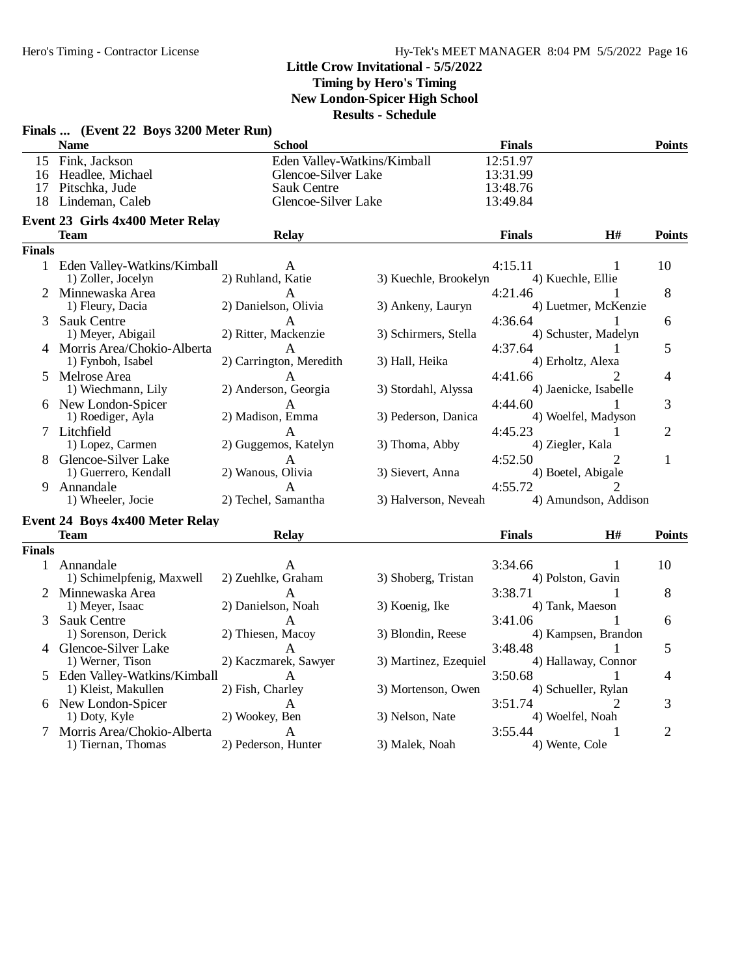**Timing by Hero's Timing**

**New London-Spicer High School**

|               | Finals  (Event 22 Boys 3200 Meter Run)                                          |                                                                  |                             |                                              |                                      |                |
|---------------|---------------------------------------------------------------------------------|------------------------------------------------------------------|-----------------------------|----------------------------------------------|--------------------------------------|----------------|
|               | <b>Name</b>                                                                     | <b>School</b>                                                    |                             | <b>Finals</b>                                |                                      | <b>Points</b>  |
| 17            | 15 Fink, Jackson<br>16 Headlee, Michael<br>Pitschka, Jude<br>18 Lindeman, Caleb | Glencoe-Silver Lake<br><b>Sauk Centre</b><br>Glencoe-Silver Lake | Eden Valley-Watkins/Kimball | 12:51.97<br>13:31.99<br>13:48.76<br>13:49.84 |                                      |                |
|               | Event 23 Girls 4x400 Meter Relay                                                |                                                                  |                             |                                              |                                      |                |
|               | <b>Team</b>                                                                     | <b>Relay</b>                                                     |                             | <b>Finals</b>                                | H#                                   | <b>Points</b>  |
| <b>Finals</b> |                                                                                 |                                                                  |                             |                                              |                                      |                |
|               | 1 Eden Valley-Watkins/Kimball<br>1) Zoller, Jocelyn                             | A<br>2) Ruhland, Katie                                           | 3) Kuechle, Brookelyn       | 4:15.11                                      | 1<br>4) Kuechle, Ellie               | 10             |
|               | 2 Minnewaska Area<br>1) Fleury, Dacia                                           | A<br>2) Danielson, Olivia                                        | 3) Ankeny, Lauryn           | 4:21.46                                      | 4) Luetmer, McKenzie                 | 8              |
| 3             | <b>Sauk Centre</b><br>1) Meyer, Abigail                                         | A<br>2) Ritter, Mackenzie                                        | 3) Schirmers, Stella        | 4:36.64                                      | 4) Schuster, Madelyn                 | 6              |
|               | 4 Morris Area/Chokio-Alberta<br>1) Fynboh, Isabel                               | A<br>2) Carrington, Meredith                                     | 3) Hall, Heika              | 4:37.64                                      | 1<br>4) Erholtz, Alexa               | 5              |
|               | 5 Melrose Area<br>1) Wiechmann, Lily                                            | 2) Anderson, Georgia                                             | 3) Stordahl, Alyssa         | 4:41.66                                      | 4) Jaenicke, Isabelle                | 4              |
|               | 6 New London-Spicer<br>1) Roediger, Ayla                                        | A<br>2) Madison, Emma                                            | 3) Pederson, Danica         | 4:44.60                                      | 4) Woelfel, Madyson                  | 3              |
|               | 7 Litchfield<br>1) Lopez, Carmen                                                | $\mathsf{A}$<br>2) Guggemos, Katelyn                             | 3) Thoma, Abby              | 4:45.23                                      | 1<br>4) Ziegler, Kala                | $\overline{2}$ |
|               | 8 Glencoe-Silver Lake<br>1) Guerrero, Kendall                                   | Α<br>2) Wanous, Olivia                                           | 3) Sievert, Anna            | 4:52.50                                      | $\mathfrak{D}$<br>4) Boetel, Abigale | $\mathbf{1}$   |
| 9.            | Annandale<br>1) Wheeler, Jocie                                                  | A<br>2) Techel, Samantha                                         | 3) Halverson, Neveah        | 4:55.72                                      | 4) Amundson, Addison                 |                |
|               |                                                                                 |                                                                  |                             |                                              |                                      |                |
|               | Event 24 Boys 4x400 Meter Relay<br><b>Team</b>                                  | <b>Relay</b>                                                     |                             | <b>Finals</b>                                | H#                                   | <b>Points</b>  |
| <b>Finals</b> |                                                                                 |                                                                  |                             |                                              |                                      |                |
|               | 1 Annandale<br>1) Schimelpfenig, Maxwell                                        | A<br>2) Zuehlke, Graham                                          | 3) Shoberg, Tristan         | 3:34.66                                      | 1<br>4) Polston, Gavin               | 10             |
|               | 2 Minnewaska Area<br>1) Meyer, Isaac                                            | A<br>2) Danielson, Noah                                          | 3) Koenig, Ike              | 3:38.71                                      | 1<br>4) Tank, Maeson                 | 8              |
| 3             | <b>Sauk Centre</b><br>1) Sorenson, Derick                                       | A<br>2) Thiesen, Macoy                                           | 3) Blondin, Reese           | 3:41.06                                      | 4) Kampsen, Brandon                  | 6              |
|               | 4 Glencoe-Silver Lake<br>1) Werner, Tison                                       | A<br>2) Kaczmarek, Sawyer                                        | 3) Martinez, Ezequiel       | 3:48.48                                      | 4) Hallaway, Connor                  | 5              |
|               | 5 Eden Valley-Watkins/Kimball<br>1) Kleist, Makullen                            | A<br>2) Fish, Charley                                            | 3) Mortenson, Owen          | 3:50.68                                      | 1<br>4) Schueller, Rylan             | 4              |
|               | 6 New London-Spicer<br>1) Doty, Kyle                                            | A<br>2) Wookey, Ben                                              | 3) Nelson, Nate             | 3:51.74                                      | 2<br>4) Woelfel, Noah                | 3              |
| 7             | Morris Area/Chokio-Alberta<br>1) Tiernan, Thomas                                | A<br>2) Pederson, Hunter                                         | 3) Malek, Noah              | 3:55.44                                      | 1<br>4) Wente, Cole                  | $\overline{2}$ |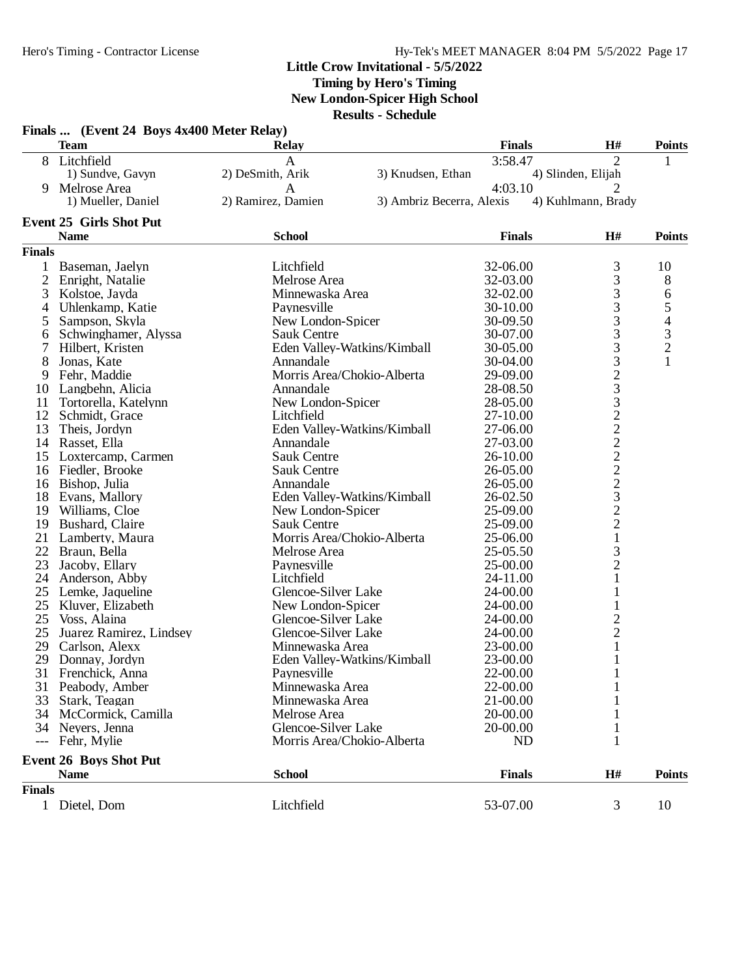**Timing by Hero's Timing**

**New London-Spicer High School**

|                | Finals  (Event 24 Boys 4x400 Meter Relay)<br><b>Team</b> | <b>Relay</b>                        |                           | <b>Finals</b>         | H#                                         | <b>Points</b>    |
|----------------|----------------------------------------------------------|-------------------------------------|---------------------------|-----------------------|--------------------------------------------|------------------|
|                | 8 Litchfield                                             | $\mathbf{A}$                        |                           | 3:58.47               | $\overline{2}$                             |                  |
|                | 1) Sundve, Gavyn                                         | 2) DeSmith, Arik                    | 3) Knudsen, Ethan         |                       | 4) Slinden, Elijah                         |                  |
| 9              | Melrose Area                                             | $\mathbf{A}$                        |                           | 4:03.10               | 2                                          |                  |
|                | 1) Mueller, Daniel                                       | 2) Ramirez, Damien                  | 3) Ambriz Becerra, Alexis |                       | 4) Kuhlmann, Brady                         |                  |
|                | <b>Event 25 Girls Shot Put</b>                           |                                     |                           |                       |                                            |                  |
|                | <b>Name</b>                                              | <b>School</b>                       |                           | <b>Finals</b>         | H#                                         | <b>Points</b>    |
| <b>Finals</b>  |                                                          |                                     |                           |                       |                                            |                  |
| 1              | Baseman, Jaelyn                                          | Litchfield                          |                           | 32-06.00              | 3                                          | 10               |
| $\overline{2}$ | Enright, Natalie                                         | Melrose Area                        |                           | 32-03.00              | 3                                          | 8                |
| 3              | Kolstoe, Jayda                                           | Minnewaska Area                     |                           | 32-02.00              | 3                                          | $\boldsymbol{6}$ |
| 4              | Uhlenkamp, Katie                                         | Paynesville                         |                           | 30-10.00              |                                            |                  |
| 5              | Sampson, Skyla                                           | New London-Spicer                   |                           | 30-09.50              | $\begin{array}{c} 3 \\ 3 \\ 3 \end{array}$ | 54321            |
| 6              | Schwinghamer, Alyssa                                     | <b>Sauk Centre</b>                  |                           | 30-07.00              |                                            |                  |
|                | Hilbert, Kristen                                         | Eden Valley-Watkins/Kimball         |                           | 30-05.00              | 3                                          |                  |
| 8              | Jonas, Kate                                              | Annandale                           |                           | 30-04.00              | 3                                          |                  |
| 9              | Fehr, Maddie                                             | Morris Area/Chokio-Alberta          |                           | 29-09.00              |                                            |                  |
| 10             | Langbehn, Alicia                                         | Annandale                           |                           | 28-08.50              |                                            |                  |
| 11             | Tortorella, Katelynn                                     | New London-Spicer                   |                           | 28-05.00              |                                            |                  |
| 12             | Schmidt, Grace                                           | Litchfield                          |                           | 27-10.00              |                                            |                  |
| 13             | Theis, Jordyn                                            | Eden Valley-Watkins/Kimball         |                           | 27-06.00              |                                            |                  |
| 14             | Rasset, Ella                                             | Annandale                           |                           | 27-03.00              |                                            |                  |
| 15             | Loxtercamp, Carmen                                       | <b>Sauk Centre</b>                  |                           | 26-10.00              |                                            |                  |
|                | 16 Fiedler, Brooke                                       | <b>Sauk Centre</b>                  |                           | 26-05.00              | 233222223                                  |                  |
|                | 16 Bishop, Julia                                         | Annandale                           |                           | 26-05.00              |                                            |                  |
| 18             | Evans, Mallory                                           | Eden Valley-Watkins/Kimball         |                           | 26-02.50              |                                            |                  |
|                | 19 Williams, Cloe                                        | New London-Spicer                   |                           | 25-09.00              | $\overline{c}$                             |                  |
| 19             | Bushard, Claire                                          | <b>Sauk Centre</b>                  |                           | 25-09.00              | $\overline{c}$                             |                  |
| 21             | Lamberty, Maura                                          | Morris Area/Chokio-Alberta          |                           | 25-06.00              | $\,1$                                      |                  |
| 22             | Braun, Bella                                             | Melrose Area                        |                           | 25-05.50              | 3                                          |                  |
| 23             |                                                          | Paynesville                         |                           | 25-00.00              | $\overline{c}$                             |                  |
| 24             | Jacoby, Ellary                                           | Litchfield                          |                           | 24-11.00              | 1                                          |                  |
|                | Anderson, Abby                                           |                                     |                           |                       |                                            |                  |
| 25             | Lemke, Jaqueline                                         | Glencoe-Silver Lake                 |                           | 24-00.00              |                                            |                  |
| 25             | Kluver, Elizabeth<br>Voss, Alaina                        | New London-Spicer                   |                           | 24-00.00              | $\mathbf{1}$                               |                  |
| 25             |                                                          | Glencoe-Silver Lake                 |                           | 24-00.00              | $\overline{c}$                             |                  |
| 25<br>29       | Juarez Ramirez, Lindsey                                  | Glencoe-Silver Lake                 |                           | 24-00.00              | $\overline{c}$                             |                  |
| 29             | Carlson, Alexx<br>Donnay, Jordyn                         | Minnewaska Area                     |                           | 23-00.00<br>23-00.00  | $\mathbf{1}$<br>1                          |                  |
|                |                                                          | Eden Valley-Watkins/Kimball         |                           |                       |                                            |                  |
|                | 31 Frenchick, Anna<br>Peabody, Amber                     | Paynesville                         |                           | 22-00.00<br>22-00.00  | T                                          |                  |
| 31             |                                                          | Minnewaska Area                     |                           |                       |                                            |                  |
| 33             | Stark, Teagan                                            | Minnewaska Area                     |                           | 21-00.00              |                                            |                  |
| 34             | McCormick, Camilla                                       | Melrose Area<br>Glencoe-Silver Lake |                           | 20-00.00              |                                            |                  |
| 34<br>$---$    | Nevers, Jenna<br>Fehr, Mylie                             | Morris Area/Chokio-Alberta          |                           | 20-00.00<br><b>ND</b> | 1                                          |                  |
|                | <b>Event 26 Boys Shot Put</b>                            |                                     |                           |                       |                                            |                  |
|                | <b>Name</b>                                              | <b>School</b>                       |                           | <b>Finals</b>         | H#                                         | <b>Points</b>    |
| <b>Finals</b>  |                                                          |                                     |                           |                       |                                            |                  |
|                | 1 Dietel, Dom                                            | Litchfield                          |                           | 53-07.00              | 3                                          | 10               |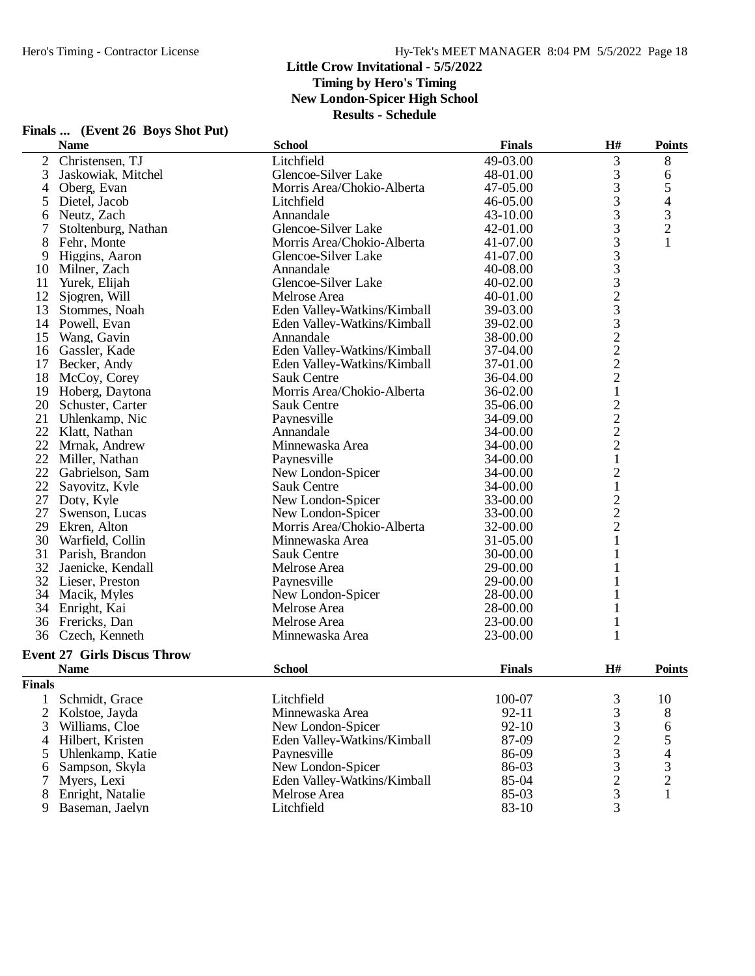|                | Finals  (Event 26 Boys Shot Put)   |                             |               |                |                          |
|----------------|------------------------------------|-----------------------------|---------------|----------------|--------------------------|
|                | <b>Name</b>                        | <b>School</b>               | <b>Finals</b> | H#             | <b>Points</b>            |
| 2              | Christensen, TJ                    | Litchfield                  | 49-03.00      | 3              | 8                        |
| 3              | Jaskowiak, Mitchel                 | Glencoe-Silver Lake         | 48-01.00      | 3              | 6                        |
| 4              | Oberg, Evan                        | Morris Area/Chokio-Alberta  | 47-05.00      | 3              | 5                        |
| 5              | Dietel, Jacob                      | Litchfield                  | 46-05.00      | 3              | 4                        |
| 6              | Neutz, Zach                        | Annandale                   | 43-10.00      | $\mathfrak{Z}$ | 3                        |
| 7              | Stoltenburg, Nathan                | Glencoe-Silver Lake         | 42-01.00      | 3              | $\overline{c}$           |
| 8              | Fehr, Monte                        | Morris Area/Chokio-Alberta  | 41-07.00      | 3              | 1                        |
| 9              | Higgins, Aaron                     | Glencoe-Silver Lake         | 41-07.00      | 3              |                          |
| 10             | Milner, Zach                       | Annandale                   | 40-08.00      | 3              |                          |
| 11             | Yurek, Elijah                      | Glencoe-Silver Lake         | 40-02.00      | 3              |                          |
| 12             | Sjogren, Will                      | Melrose Area                | 40-01.00      |                |                          |
| 13             | Stommes, Noah                      | Eden Valley-Watkins/Kimball | 39-03.00      | $\frac{2}{3}$  |                          |
|                | 14 Powell, Evan                    | Eden Valley-Watkins/Kimball | 39-02.00      | 3              |                          |
| 15             | Wang, Gavin                        | Annandale                   | 38-00.00      | $\frac{2}{2}$  |                          |
| 16             | Gassler, Kade                      | Eden Valley-Watkins/Kimball | 37-04.00      |                |                          |
|                | 17 Becker, Andy                    | Eden Valley-Watkins/Kimball | 37-01.00      | $\overline{c}$ |                          |
|                | 18 McCoy, Corey                    | <b>Sauk Centre</b>          | 36-04.00      | $\overline{c}$ |                          |
|                | 19 Hoberg, Daytona                 | Morris Area/Chokio-Alberta  | 36-02.00      | $\mathbf{1}$   |                          |
| 20             | Schuster, Carter                   | <b>Sauk Centre</b>          | 35-06.00      | $\overline{c}$ |                          |
| 21             | Uhlenkamp, Nic                     | Paynesville                 | 34-09.00      |                |                          |
| 22             | Klatt, Nathan                      | Annandale                   | 34-00.00      | $\frac{2}{2}$  |                          |
|                | 22 Mrnak, Andrew                   | Minnewaska Area             | 34-00.00      |                |                          |
| 22             | Miller, Nathan                     | Paynesville                 | 34-00.00      | $\mathbf 1$    |                          |
|                | 22 Gabrielson, Sam                 | New London-Spicer           | 34-00.00      | $\overline{c}$ |                          |
| 22             | Sayovitz, Kyle                     | <b>Sauk Centre</b>          | 34-00.00      | $\mathbf{1}$   |                          |
| 27             | Doty, Kyle                         | New London-Spicer           | 33-00.00      | $\overline{c}$ |                          |
| 27             | Swenson, Lucas                     | New London-Spicer           | 33-00.00      | $\overline{c}$ |                          |
| 29             | Ekren, Alton                       | Morris Area/Chokio-Alberta  | 32-00.00      | $\overline{2}$ |                          |
|                | 30 Warfield, Collin                | Minnewaska Area             | 31-05.00      | $\mathbf{1}$   |                          |
|                | 31 Parish, Brandon                 | <b>Sauk Centre</b>          | 30-00.00      | 1              |                          |
| 32             | Jaenicke, Kendall                  | Melrose Area                | 29-00.00      | 1              |                          |
|                | 32 Lieser, Preston                 | Paynesville                 | 29-00.00      | 1              |                          |
|                | 34 Macik, Myles                    | New London-Spicer           | 28-00.00      | 1              |                          |
|                | 34 Enright, Kai                    | Melrose Area                | 28-00.00      | 1              |                          |
|                | 36 Frericks, Dan                   | Melrose Area                | 23-00.00      | 1              |                          |
|                | 36 Czech, Kenneth                  | Minnewaska Area             | 23-00.00      | 1              |                          |
|                | <b>Event 27 Girls Discus Throw</b> |                             |               |                |                          |
|                | <b>Name</b>                        | <b>School</b>               | <b>Finals</b> | H#             | <b>Points</b>            |
| <b>Finals</b>  |                                    |                             |               |                |                          |
| 1              | Schmidt, Grace                     | Litchfield                  | 100-07        | 3              | 10                       |
| $\overline{c}$ | Kolstoe, Jayda                     | Minnewaska Area             | $92 - 11$     | 3              | 8                        |
| 3              | Williams, Cloe                     | New London-Spicer           | $92 - 10$     | 3              | 6                        |
| 4              | Hilbert, Kristen                   | Eden Valley-Watkins/Kimball | 87-09         |                |                          |
| 5              | Uhlenkamp, Katie                   | Paynesville                 | 86-09         | $\frac{2}{3}$  | 5                        |
|                | Sampson, Skyla                     | New London-Spicer           | 86-03         | 3              | $\overline{\mathcal{L}}$ |
| 6<br>7         | Myers, Lexi                        | Eden Valley-Watkins/Kimball | 85-04         | $\overline{c}$ | $\frac{3}{2}$            |
| 8              | Enright, Natalie                   | Melrose Area                | 85-03         | 3              | $\mathbf{1}$             |
| 9              | Baseman, Jaelyn                    | Litchfield                  | 83-10         | 3              |                          |
|                |                                    |                             |               |                |                          |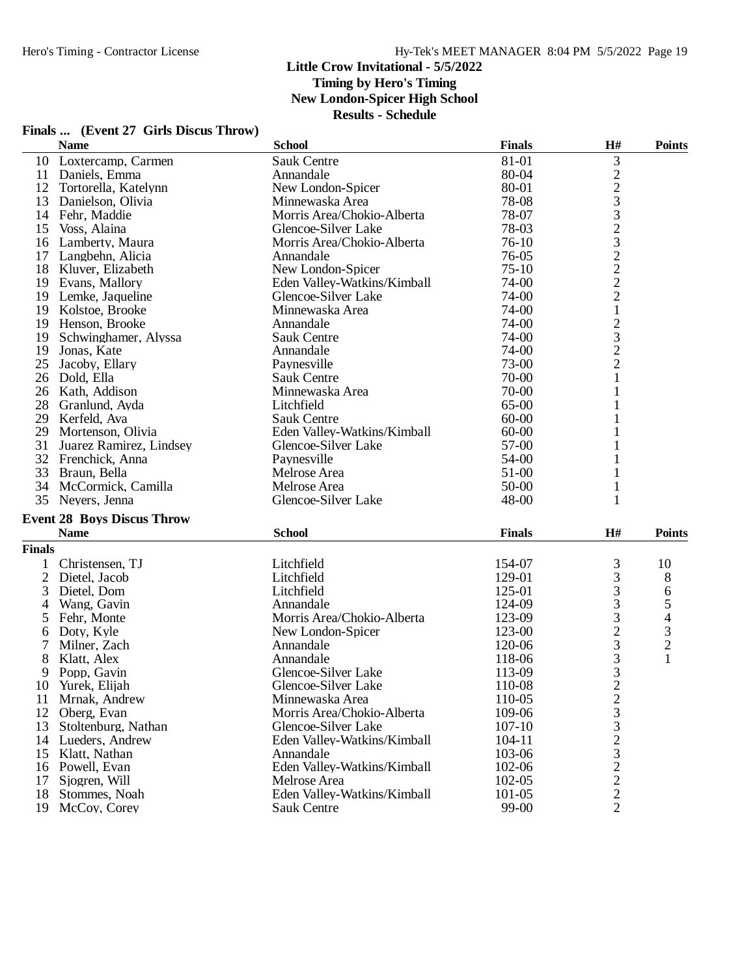#### **Little Crow Invitational - 5/5/2022 Timing by Hero's Timing**

**New London-Spicer High School**

**Results - Schedule**

|                | <b>Name</b>                       | <b>School</b>               | <b>Finals</b> | H#                                                   | <b>Points</b>            |
|----------------|-----------------------------------|-----------------------------|---------------|------------------------------------------------------|--------------------------|
|                | 10 Loxtercamp, Carmen             | Sauk Centre                 | 81-01         | 3                                                    |                          |
|                | 11 Daniels, Emma                  | Annandale                   | 80-04         |                                                      |                          |
|                | 12 Tortorella, Katelynn           | New London-Spicer           | 80-01         |                                                      |                          |
|                | 13 Danielson, Olivia              | Minnewaska Area             | 78-08         | $22332222$<br>$2221$                                 |                          |
|                | 14 Fehr, Maddie                   | Morris Area/Chokio-Alberta  | 78-07         |                                                      |                          |
|                | 15 Voss, Alaina                   | Glencoe-Silver Lake         | 78-03         |                                                      |                          |
|                | 16 Lamberty, Maura                | Morris Area/Chokio-Alberta  | $76-10$       |                                                      |                          |
|                | 17 Langbehn, Alicia               | Annandale                   | 76-05         |                                                      |                          |
|                | 18 Kluver, Elizabeth              | New London-Spicer           | $75-10$       |                                                      |                          |
|                | 19 Evans, Mallory                 | Eden Valley-Watkins/Kimball | 74-00         |                                                      |                          |
|                | 19 Lemke, Jaqueline               | Glencoe-Silver Lake         | 74-00         |                                                      |                          |
|                | 19 Kolstoe, Brooke                | Minnewaska Area             | 74-00         |                                                      |                          |
|                | 19 Henson, Brooke                 | Annandale                   | 74-00         |                                                      |                          |
|                | 19 Schwinghamer, Alyssa           | <b>Sauk Centre</b>          | 74-00         | $\begin{array}{c} 2 \\ 3 \\ 2 \end{array}$           |                          |
|                | 19 Jonas, Kate                    | Annandale                   | 74-00         |                                                      |                          |
| 25             | Jacoby, Ellary                    | Paynesville                 | 73-00         |                                                      |                          |
|                | 26 Dold, Ella                     | <b>Sauk Centre</b>          | 70-00         | $\mathbf{1}$                                         |                          |
|                | 26 Kath, Addison                  | Minnewaska Area             | 70-00         | $\mathbf{1}$                                         |                          |
|                | 28 Granlund, Ayda                 | Litchfield                  | 65-00         | 1                                                    |                          |
|                | 29 Kerfeld, Ava                   | <b>Sauk Centre</b>          | $60 - 00$     | 1                                                    |                          |
| 29             | Mortenson, Olivia                 | Eden Valley-Watkins/Kimball | $60 - 00$     |                                                      |                          |
| 31             | Juarez Ramirez, Lindsey           | Glencoe-Silver Lake         | 57-00         | 1                                                    |                          |
| 32             | Frenchick, Anna                   | Paynesville                 | 54-00         | 1                                                    |                          |
|                | 33 Braun, Bella                   | Melrose Area                | 51-00         | 1                                                    |                          |
|                | 34 McCormick, Camilla             | Melrose Area                | 50-00         | $\mathbf{1}$                                         |                          |
|                | 35 Neyers, Jenna                  | Glencoe-Silver Lake         | 48-00         | 1                                                    |                          |
|                |                                   |                             |               |                                                      |                          |
|                | <b>Event 28 Boys Discus Throw</b> |                             |               |                                                      |                          |
|                | <b>Name</b>                       | <b>School</b>               | <b>Finals</b> | H#                                                   | <b>Points</b>            |
| <b>Finals</b>  |                                   |                             |               |                                                      |                          |
| 1              | Christensen, TJ                   | Litchfield                  | 154-07        | 3                                                    | 10                       |
| $\overline{c}$ | Dietel, Jacob                     | Litchfield                  | 129-01        | 3                                                    | 8                        |
| 3              | Dietel, Dom                       | Litchfield                  | 125-01        | 3                                                    | 6                        |
| 4              | Wang, Gavin                       | Annandale                   | 124-09        | 3                                                    | 5                        |
| 5              | Fehr, Monte                       | Morris Area/Chokio-Alberta  | 123-09        | $\begin{array}{c} 3 \\ 2 \\ 3 \\ 3 \\ 3 \end{array}$ | $\overline{\mathcal{L}}$ |
| 6              | Doty, Kyle                        | New London-Spicer           | 123-00        |                                                      | $\frac{3}{2}$            |
| 7              | Milner, Zach                      | Annandale                   | 120-06        |                                                      |                          |
| 8              | Klatt, Alex                       | Annandale                   | 118-06        |                                                      | $\mathbf{1}$             |
| 9              | Popp, Gavin                       | Glencoe-Silver Lake         | 113-09        |                                                      |                          |
| 10             | Yurek, Elijah                     | Glencoe-Silver Lake         | 110-08        | $\overline{2}$                                       |                          |
| 11             | Mrnak, Andrew                     | Minnewaska Area             | 110-05        | $\frac{2}{3}$                                        |                          |
| 12             | Oberg, Evan                       | Morris Area/Chokio-Alberta  | 109-06        |                                                      |                          |
| 13             | Stoltenburg, Nathan               | Glencoe-Silver Lake         | 107-10        | $\begin{array}{c} 3 \\ 2 \\ 3 \end{array}$           |                          |
|                | 14 Lueders, Andrew                | Eden Valley-Watkins/Kimball | 104-11        |                                                      |                          |
| 15             | Klatt, Nathan                     | Annandale                   | 103-06        |                                                      |                          |
|                | 16 Powell, Evan                   | Eden Valley-Watkins/Kimball | 102-06        | $\frac{2}{2}$                                        |                          |
| 17             | Sjogren, Will                     | Melrose Area                | 102-05        |                                                      |                          |
| 18             | Stommes, Noah                     | Eden Valley-Watkins/Kimball | 101-05        | $\overline{c}$                                       |                          |
| 19             | McCoy, Corey                      | Sauk Centre                 | 99-00         | $\overline{2}$                                       |                          |

# **Finals ... (Event 27 Girls Discus Throw)**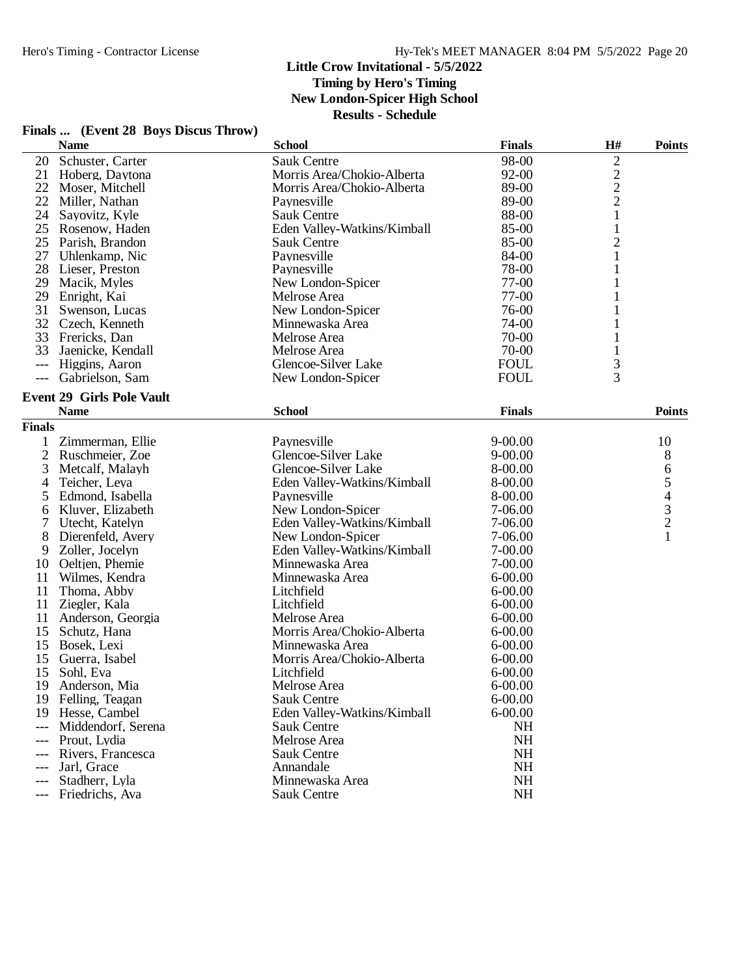**Finals ... (Event 28 Boys Discus Throw)**

# **Little Crow Invitational - 5/5/2022**

**Timing by Hero's Timing**

**New London-Spicer High School**

|                     | <b>Name</b>                                         | <b>School</b>               | <b>Finals</b>            | H#             | <b>Points</b>                              |
|---------------------|-----------------------------------------------------|-----------------------------|--------------------------|----------------|--------------------------------------------|
| 20                  | Schuster, Carter                                    | <b>Sauk Centre</b>          | 98-00                    | $\overline{c}$ |                                            |
| 21                  | Hoberg, Daytona                                     | Morris Area/Chokio-Alberta  | 92-00                    |                |                                            |
| 22                  | Moser, Mitchell                                     | Morris Area/Chokio-Alberta  | 89-00                    | $\frac{2}{2}$  |                                            |
| 22                  | Miller, Nathan                                      | Paynesville                 | 89-00                    |                |                                            |
| 24                  | Sayovitz, Kyle                                      | <b>Sauk Centre</b>          | 88-00                    | $\mathbf{1}$   |                                            |
| 25                  | Rosenow, Haden                                      | Eden Valley-Watkins/Kimball | 85-00                    | $\mathbf{1}$   |                                            |
|                     | 25 Parish, Brandon                                  | Sauk Centre                 | 85-00                    | $\overline{c}$ |                                            |
| 27                  | Uhlenkamp, Nic                                      | Paynesville                 | 84-00                    | $\mathbf{1}$   |                                            |
| 28                  | Lieser, Preston                                     | Paynesville                 | 78-00                    | 1              |                                            |
| 29                  | Macik, Myles                                        | New London-Spicer           | $77-00$                  | 1              |                                            |
| 29                  | Enright, Kai                                        | Melrose Area                | $77-00$                  | 1              |                                            |
| 31                  | Swenson, Lucas                                      | New London-Spicer           | 76-00                    | 1              |                                            |
|                     | 32 Czech, Kenneth                                   | Minnewaska Area             | 74-00                    | 1              |                                            |
|                     | 33 Frericks, Dan                                    | Melrose Area                | 70-00                    | 1              |                                            |
| 33                  | Jaenicke, Kendall                                   | Melrose Area                | 70-00                    |                |                                            |
| $---$               | Higgins, Aaron                                      | Glencoe-Silver Lake         | <b>FOUL</b>              | 3              |                                            |
|                     | Gabrielson, Sam                                     | New London-Spicer           | <b>FOUL</b>              | $\overline{3}$ |                                            |
|                     | <b>Event 29 Girls Pole Vault</b>                    |                             |                          |                |                                            |
|                     | <b>Name</b>                                         | <b>School</b>               | <b>Finals</b>            |                | <b>Points</b>                              |
| <b>Finals</b>       |                                                     |                             |                          |                |                                            |
| 1                   | Zimmerman, Ellie                                    | Paynesville                 | $9 - 00.00$              |                | 10                                         |
| $\overline{2}$      | Ruschmeier, Zoe                                     | Glencoe-Silver Lake         | $9 - 00.00$              |                | 8                                          |
| 3                   | Metcalf, Malayh                                     | Glencoe-Silver Lake         | 8-00.00                  |                | 6                                          |
| 4                   | Teicher, Leya                                       | Eden Valley-Watkins/Kimball | 8-00.00                  |                | 5                                          |
| 5                   | Edmond, Isabella                                    | Paynesville                 | 8-00.00                  |                |                                            |
| 6                   | Kluver, Elizabeth                                   | New London-Spicer           | 7-06.00                  |                |                                            |
|                     | Utecht, Katelyn                                     | Eden Valley-Watkins/Kimball | 7-06.00                  |                | $\begin{array}{c} 4 \\ 3 \\ 2 \end{array}$ |
| 8                   | Dierenfeld, Avery                                   | New London-Spicer           | 7-06.00                  |                |                                            |
| 9                   | Zoller, Jocelyn                                     | Eden Valley-Watkins/Kimball | 7-00.00                  |                |                                            |
| 10                  | Oeltjen, Phemie                                     | Minnewaska Area             | 7-00.00                  |                |                                            |
| 11                  | Wilmes, Kendra                                      | Minnewaska Area             | $6 - 00.00$              |                |                                            |
| 11                  | Thoma, Abby                                         | Litchfield                  | $6 - 00.00$              |                |                                            |
| 11                  | Ziegler, Kala                                       | Litchfield                  | $6 - 00.00$              |                |                                            |
| 11                  | Anderson, Georgia                                   | Melrose Area                | $6 - 00.00$              |                |                                            |
| 15                  | Schutz, Hana                                        | Morris Area/Chokio-Alberta  | $6 - 00.00$              |                |                                            |
| 15                  | Bosek, Lexi                                         | Minnewaska Area             | $6 - 00.00$              |                |                                            |
| 15                  | Guerra, Isabel                                      | Morris Area/Chokio-Alberta  | $6 - 00.00$              |                |                                            |
| 15                  | Sohl, Eva                                           | Litchfield                  | $6 - 00.00$              |                |                                            |
| 19                  | Anderson, Mia                                       | Melrose Area                | $6 - 00.00$              |                |                                            |
| 19                  | Felling, Teagan                                     | <b>Sauk Centre</b>          | $6 - 00.00$              |                |                                            |
| 19                  |                                                     | Eden Valley-Watkins/Kimball |                          |                |                                            |
| ---                 |                                                     | <b>Sauk Centre</b>          | NH                       |                |                                            |
| $---$               |                                                     | Melrose Area                |                          |                |                                            |
| $---$               | Rivers, Francesca                                   | <b>Sauk Centre</b>          | <b>NH</b>                |                |                                            |
| ---                 | Jarl, Grace                                         | Annandale                   | <b>NH</b>                |                |                                            |
|                     | Stadherr, Lyla                                      | Minnewaska Area             | <b>NH</b>                |                |                                            |
| $\qquad \qquad - -$ | Friedrichs, Ava                                     | Sauk Centre                 | NH                       |                |                                            |
|                     | Hesse, Cambel<br>Middendorf, Serena<br>Prout, Lydia |                             | $6 - 00.00$<br><b>NH</b> |                |                                            |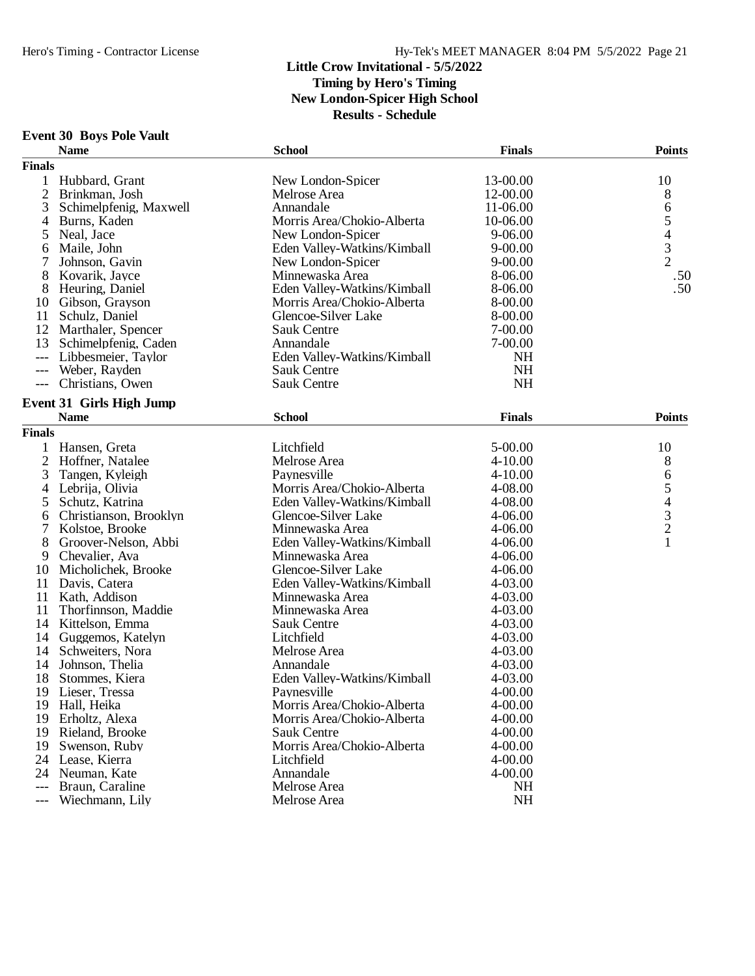# **Event 30 Boys Pole Vault**

|                | <b>Name</b>                     | <b>School</b>               | <b>Finals</b> | <b>Points</b>  |
|----------------|---------------------------------|-----------------------------|---------------|----------------|
| <b>Finals</b>  |                                 |                             |               |                |
| 1              | Hubbard, Grant                  | New London-Spicer           | 13-00.00      | 10             |
| $\mathfrak{2}$ | Brinkman, Josh                  | Melrose Area                | 12-00.00      | 8              |
| 3              | Schimelpfenig, Maxwell          | Annandale                   | 11-06.00      | 6              |
| 4              | Burns, Kaden                    | Morris Area/Chokio-Alberta  | 10-06.00      | 5              |
| 5              | Neal, Jace                      | New London-Spicer           | 9-06.00       |                |
| 6              | Maile, John                     | Eden Valley-Watkins/Kimball | $9 - 00.00$   | $\frac{4}{3}$  |
| 7              | Johnson, Gavin                  | New London-Spicer           | $9 - 00.00$   | $\overline{2}$ |
| 8              | Kovarik, Jayce                  | Minnewaska Area             | 8-06.00       | .50            |
| 8              | Heuring, Daniel                 | Eden Valley-Watkins/Kimball | 8-06.00       | .50            |
| 10             | Gibson, Grayson                 | Morris Area/Chokio-Alberta  | 8-00.00       |                |
| 11             | Schulz, Daniel                  | Glencoe-Silver Lake         | 8-00.00       |                |
| 12             | Marthaler, Spencer              | <b>Sauk Centre</b>          | 7-00.00       |                |
| 13             | Schimelpfenig, Caden            | Annandale                   | 7-00.00       |                |
| $---$          | Libbesmeier, Taylor             | Eden Valley-Watkins/Kimball | <b>NH</b>     |                |
| $---$          | Weber, Rayden                   | <b>Sauk Centre</b>          | <b>NH</b>     |                |
| ---            | Christians, Owen                | <b>Sauk Centre</b>          | <b>NH</b>     |                |
|                |                                 |                             |               |                |
|                | <b>Event 31 Girls High Jump</b> |                             |               |                |
|                | <b>Name</b>                     | <b>School</b>               | <b>Finals</b> | <b>Points</b>  |
| <b>Finals</b>  |                                 |                             |               |                |
| 1              | Hansen, Greta                   | Litchfield                  | 5-00.00       | 10             |
| $\overline{2}$ | Hoffner, Natalee                | Melrose Area                | 4-10.00       | 8              |
| 3              | Tangen, Kyleigh                 | Paynesville                 | $4 - 10.00$   |                |
| 4              | Lebrija, Olivia                 | Morris Area/Chokio-Alberta  | 4-08.00       | 65432          |
| 5              | Schutz, Katrina                 | Eden Valley-Watkins/Kimball | 4-08.00       |                |
| 6              | Christianson, Brooklyn          | Glencoe-Silver Lake         | 4-06.00       |                |
| 7              | Kolstoe, Brooke                 | Minnewaska Area             | 4-06.00       |                |
| 8              | Groover-Nelson, Abbi            | Eden Valley-Watkins/Kimball | 4-06.00       | $\mathbf{1}$   |
| 9              | Chevalier, Ava                  | Minnewaska Area             | 4-06.00       |                |
| 10             | Micholichek, Brooke             | Glencoe-Silver Lake         | 4-06.00       |                |
| 11             | Davis, Catera                   | Eden Valley-Watkins/Kimball | 4-03.00       |                |
| 11             | Kath, Addison                   | Minnewaska Area             | 4-03.00       |                |
| 11             | Thorfinnson, Maddie             | Minnewaska Area             | 4-03.00       |                |
| 14             | Kittelson, Emma                 | <b>Sauk Centre</b>          | 4-03.00       |                |
| 14             | Guggemos, Katelyn               | Litchfield                  | 4-03.00       |                |
| 14             | Schweiters, Nora                | Melrose Area                | 4-03.00       |                |
| 14             | Johnson, Thelia                 | Annandale                   | 4-03.00       |                |
| 18             | Stommes, Kiera                  | Eden Valley-Watkins/Kimball | 4-03.00       |                |
| 19             | Lieser, Tressa                  | Paynesville                 | 4-00.00       |                |
| 19             | Hall, Heika                     | Morris Area/Chokio-Alberta  | 4-00.00       |                |
| 19             | Erholtz, Alexa                  | Morris Area/Chokio-Alberta  | 4-00.00       |                |
| 19             | Rieland, Brooke                 | <b>Sauk Centre</b>          | 4-00.00       |                |
| 19             | Swenson, Ruby                   | Morris Area/Chokio-Alberta  | 4-00.00       |                |
|                | 24 Lease, Kierra                | Litchfield                  | 4-00.00       |                |
|                | 24 Neuman, Kate                 | Annandale                   | 4-00.00       |                |
| $---$          | Braun, Caraline                 | Melrose Area                | <b>NH</b>     |                |
| ---            | Wiechmann, Lily                 | Melrose Area                | NH            |                |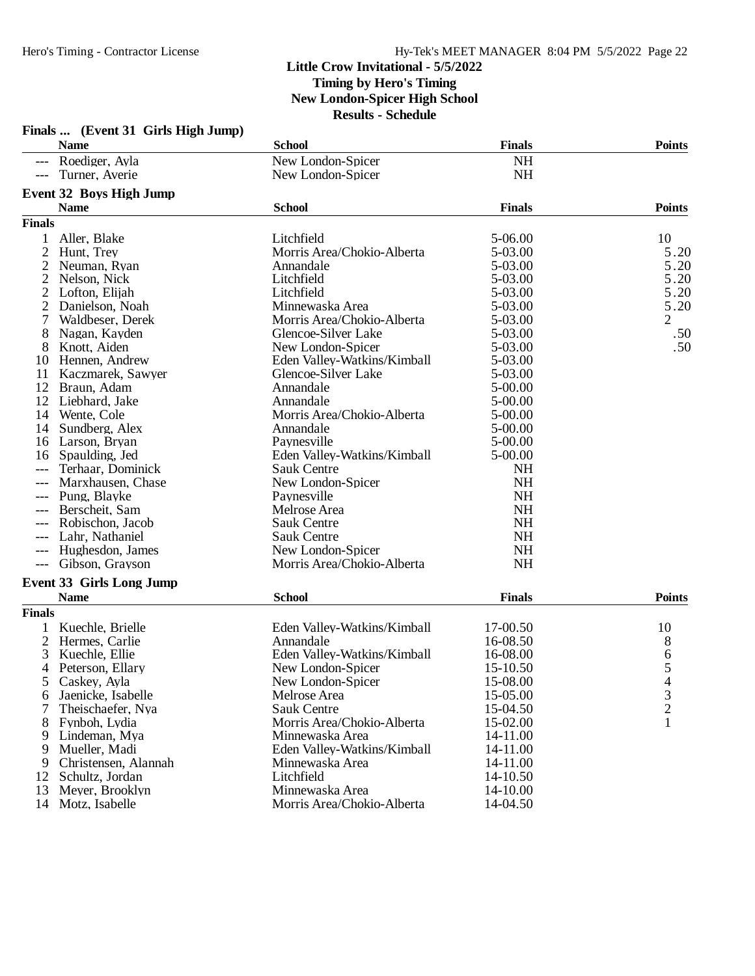|                | Finals  (Event 31 Girls High Jump) |                             |               |                |
|----------------|------------------------------------|-----------------------------|---------------|----------------|
|                | <b>Name</b>                        | <b>School</b>               | <b>Finals</b> | <b>Points</b>  |
|                | --- Roediger, Ayla                 | New London-Spicer           | <b>NH</b>     |                |
| $---$          | Turner, Averie                     | New London-Spicer           | <b>NH</b>     |                |
|                | Event 32 Boys High Jump            |                             |               |                |
|                | <b>Name</b>                        | <b>School</b>               | <b>Finals</b> | <b>Points</b>  |
| <b>Finals</b>  |                                    |                             |               |                |
|                | Aller, Blake                       | Litchfield                  | 5-06.00       | 10             |
| 2              | Hunt, Trey                         | Morris Area/Chokio-Alberta  | 5-03.00       | 5.20           |
| 2              | Neuman, Ryan                       | Annandale                   | 5-03.00       | 5.20           |
| $\overline{2}$ | Nelson, Nick                       | Litchfield                  | 5-03.00       | 5.20           |
| 2              | Lofton, Elijah                     | Litchfield                  | 5-03.00       | 5.20           |
| 2              | Danielson, Noah                    | Minnewaska Area             | 5-03.00       | 5.20           |
| 7              | Waldbeser, Derek                   | Morris Area/Chokio-Alberta  | 5-03.00       | $\overline{2}$ |
| 8              | Nagan, Kayden                      | Glencoe-Silver Lake         | 5-03.00       | .50            |
| 8              | Knott, Aiden                       | New London-Spicer           | 5-03.00       | .50            |
| 10             | Hennen, Andrew                     | Eden Valley-Watkins/Kimball | 5-03.00       |                |
| 11             | Kaczmarek, Sawyer                  | Glencoe-Silver Lake         | 5-03.00       |                |
| 12             | Braun, Adam                        | Annandale                   | 5-00.00       |                |
| 12             | Liebhard, Jake                     | Annandale                   | 5-00.00       |                |
|                | 14 Wente, Cole                     | Morris Area/Chokio-Alberta  | 5-00.00       |                |
| 14             | Sundberg, Alex                     | Annandale                   | 5-00.00       |                |
| 16             | Larson, Bryan                      | Paynesville                 | 5-00.00       |                |
|                | Spaulding, Jed                     |                             | 5-00.00       |                |
| 16             |                                    | Eden Valley-Watkins/Kimball |               |                |
| ---            | Terhaar, Dominick                  | <b>Sauk Centre</b>          | <b>NH</b>     |                |
|                | Marxhausen, Chase                  | New London-Spicer           | <b>NH</b>     |                |
|                | Pung, Blayke                       | Paynesville                 | <b>NH</b>     |                |
| $---$          | Berscheit, Sam                     | Melrose Area                | <b>NH</b>     |                |
|                | Robischon, Jacob                   | <b>Sauk Centre</b>          | <b>NH</b>     |                |
| ---            | Lahr, Nathaniel                    | <b>Sauk Centre</b>          | <b>NH</b>     |                |
| ---            | Hughesdon, James                   | New London-Spicer           | <b>NH</b>     |                |
| $---$          | Gibson, Grayson                    | Morris Area/Chokio-Alberta  | <b>NH</b>     |                |
|                | <b>Event 33 Girls Long Jump</b>    |                             |               |                |
|                | <b>Name</b>                        | <b>School</b>               | <b>Finals</b> | <b>Points</b>  |
| <b>Finals</b>  |                                    |                             |               |                |
|                | Kuechle, Brielle                   | Eden Valley-Watkins/Kimball | 17-00.50      | 10             |
| $\overline{2}$ | Hermes, Carlie                     | Annandale                   | 16-08.50      | 8              |
| 3              | Kuechle, Ellie                     | Eden Valley-Watkins/Kimball | 16-08.00      | 6              |
| 4              | Peterson, Ellary                   | New London-Spicer           | 15-10.50      | $\overline{5}$ |
| 5              | Caskey, Ayla                       | New London-Spicer           | 15-08.00      | 4              |
| 6              | Jaenicke, Isabelle                 | Melrose Area                | 15-05.00      | 3              |
|                | Theischaefer, Nya                  | <b>Sauk Centre</b>          | 15-04.50      | $\overline{c}$ |
| 8              | Fynboh, Lydia                      | Morris Area/Chokio-Alberta  | 15-02.00      | 1              |
| 9              | Lindeman, Mya                      | Minnewaska Area             | 14-11.00      |                |
| 9              | Mueller, Madi                      | Eden Valley-Watkins/Kimball | 14-11.00      |                |
| 9              | Christensen, Alannah               | Minnewaska Area             | 14-11.00      |                |
| 12             | Schultz, Jordan                    | Litchfield                  | 14-10.50      |                |
| 13             | Meyer, Brooklyn                    | Minnewaska Area             | 14-10.00      |                |
|                | 14 Motz, Isabelle                  | Morris Area/Chokio-Alberta  | 14-04.50      |                |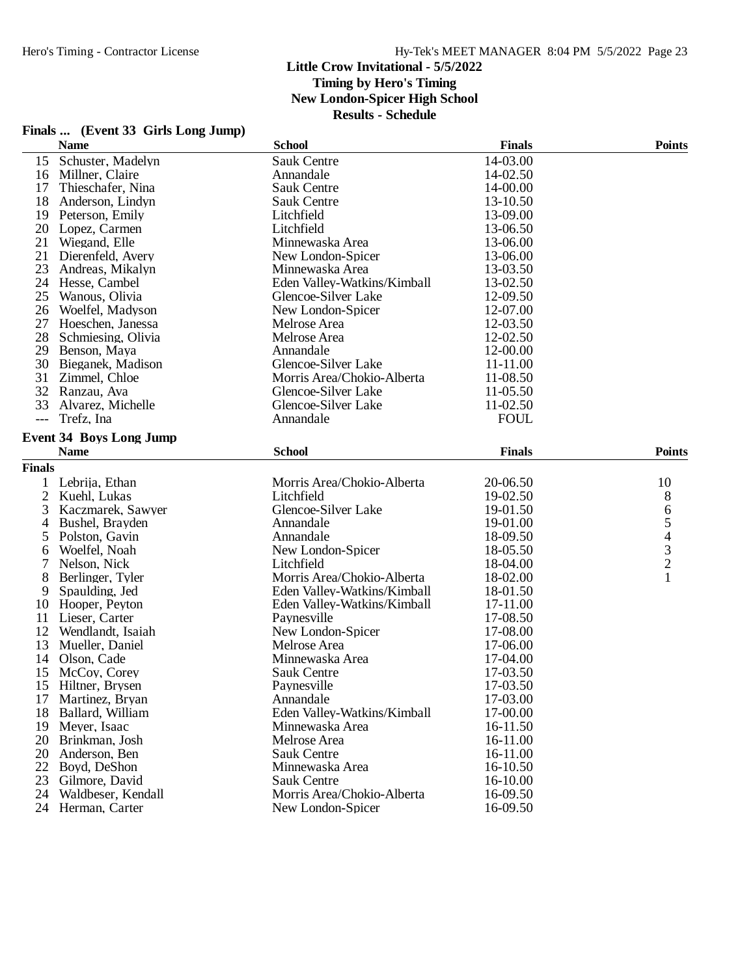|               | Finals  (Event 33 Girls Long Jump) |                             |               |                          |
|---------------|------------------------------------|-----------------------------|---------------|--------------------------|
|               | <b>Name</b>                        | <b>School</b>               | <b>Finals</b> | <b>Points</b>            |
| 15            | Schuster, Madelyn                  | <b>Sauk Centre</b>          | 14-03.00      |                          |
| 16            | Millner, Claire                    | Annandale                   | 14-02.50      |                          |
| 17            | Thieschafer, Nina                  | <b>Sauk Centre</b>          | 14-00.00      |                          |
| 18            | Anderson, Lindyn                   | <b>Sauk Centre</b>          | 13-10.50      |                          |
|               | 19 Peterson, Emily                 | Litchfield                  | 13-09.00      |                          |
| 20            | Lopez, Carmen                      | Litchfield                  | 13-06.50      |                          |
| 21            | Wiegand, Elle                      | Minnewaska Area             | 13-06.00      |                          |
| 21            | Dierenfeld, Avery                  | New London-Spicer           | 13-06.00      |                          |
| 23            | Andreas, Mikalyn                   | Minnewaska Area             | 13-03.50      |                          |
|               | 24 Hesse, Cambel                   | Eden Valley-Watkins/Kimball | 13-02.50      |                          |
| 25            | Wanous, Olivia                     | Glencoe-Silver Lake         | 12-09.50      |                          |
| 26            | Woelfel, Madyson                   | New London-Spicer           | 12-07.00      |                          |
| 27            | Hoeschen, Janessa                  | Melrose Area                | 12-03.50      |                          |
| 28            | Schmiesing, Olivia                 | Melrose Area                | 12-02.50      |                          |
| 29            | Benson, Maya                       | Annandale                   | 12-00.00      |                          |
| 30            | Bieganek, Madison                  | Glencoe-Silver Lake         | 11-11.00      |                          |
| 31            | Zimmel, Chloe                      | Morris Area/Chokio-Alberta  | 11-08.50      |                          |
|               | 32 Ranzau, Ava                     | Glencoe-Silver Lake         | 11-05.50      |                          |
| 33            | Alvarez, Michelle                  | Glencoe-Silver Lake         | $11-02.50$    |                          |
| $---$         | Trefz, Ina                         | Annandale                   | <b>FOUL</b>   |                          |
|               |                                    |                             |               |                          |
|               | <b>Event 34 Boys Long Jump</b>     |                             |               |                          |
|               | <b>Name</b>                        | <b>School</b>               | <b>Finals</b> | <b>Points</b>            |
| <b>Finals</b> |                                    |                             |               |                          |
| 1             | Lebrija, Ethan                     | Morris Area/Chokio-Alberta  | 20-06.50      | 10                       |
| 2             | Kuehl, Lukas                       | Litchfield                  | 19-02.50      | $8\,$                    |
| 3             | Kaczmarek, Sawyer                  | Glencoe-Silver Lake         | 19-01.50      | 6                        |
| 4             | Bushel, Brayden                    | Annandale                   | 19-01.00      | 5                        |
| 5             | Polston, Gavin                     | Annandale                   | 18-09.50      | $\overline{\mathcal{L}}$ |
| 6             | Woelfel, Noah                      | New London-Spicer           | 18-05.50      | 3                        |
| 7             | Nelson, Nick                       | Litchfield                  | 18-04.00      | $\overline{c}$           |
| 8             | Berlinger, Tyler                   | Morris Area/Chokio-Alberta  | 18-02.00      | 1                        |
| 9             | Spaulding, Jed                     | Eden Valley-Watkins/Kimball | 18-01.50      |                          |
| 10            | Hooper, Peyton                     | Eden Valley-Watkins/Kimball | 17-11.00      |                          |
| 11            | Lieser, Carter                     | Paynesville                 | 17-08.50      |                          |
| 12            | Wendlandt, Isaiah                  | New London-Spicer           | 17-08.00      |                          |
| 13            | Mueller, Daniel                    | Melrose Area                | 17-06.00      |                          |
| 14            | Olson, Cade                        | Minnewaska Area             | 17-04.00      |                          |
|               | 15 McCoy, Corey                    | Sauk Centre                 | 17-03.50      |                          |
|               | 15 Hiltner, Brysen                 | Paynesville                 | 17-03.50      |                          |
| 17            | Martinez, Bryan                    | Annandale                   | 17-03.00      |                          |
| 18            | Ballard, William                   | Eden Valley-Watkins/Kimball | 17-00.00      |                          |
| 19            | Meyer, Isaac                       | Minnewaska Area             | 16-11.50      |                          |
| 20            | Brinkman, Josh                     | Melrose Area                | 16-11.00      |                          |
| 20            | Anderson, Ben                      | <b>Sauk Centre</b>          | 16-11.00      |                          |
| 22            | Boyd, DeShon                       | Minnewaska Area             | 16-10.50      |                          |
| 23            | Gilmore, David                     | <b>Sauk Centre</b>          | 16-10.00      |                          |
|               | 24 Waldbeser, Kendall              | Morris Area/Chokio-Alberta  | 16-09.50      |                          |

24 Herman, Carter New London-Spicer 16-09.50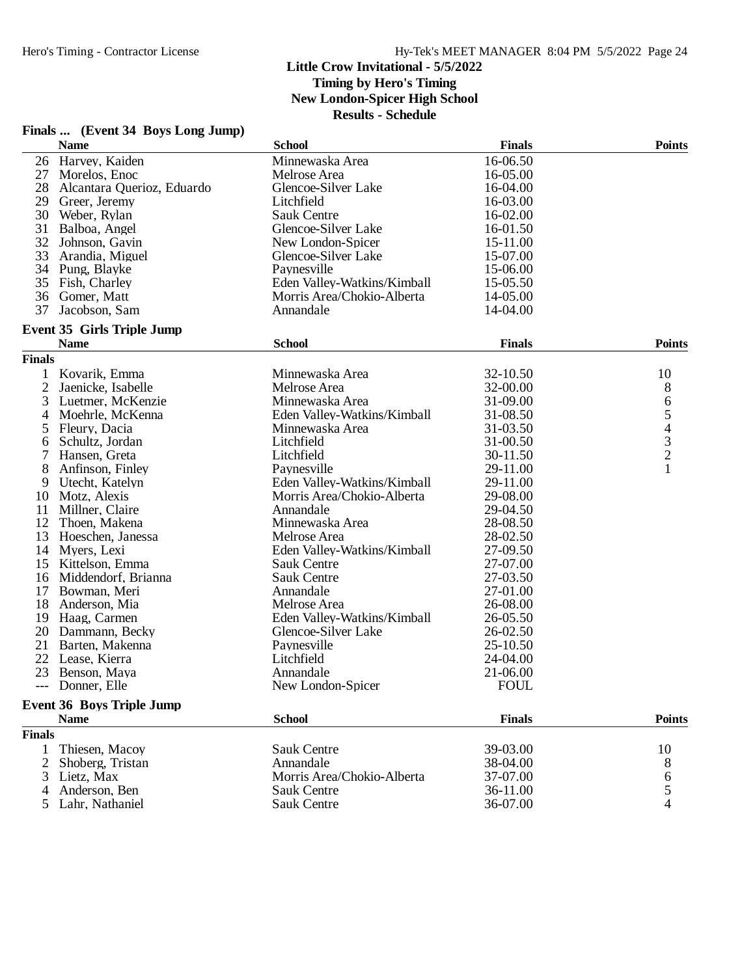|                | Finals  (Event 34 Boys Long Jump) |                             |               |                                |
|----------------|-----------------------------------|-----------------------------|---------------|--------------------------------|
|                | <b>Name</b>                       | <b>School</b>               | <b>Finals</b> | <b>Points</b>                  |
|                | 26 Harvey, Kaiden                 | Minnewaska Area             | 16-06.50      |                                |
| 27             | Morelos, Enoc                     | Melrose Area                | 16-05.00      |                                |
| 28             | Alcantara Querioz, Eduardo        | Glencoe-Silver Lake         | 16-04.00      |                                |
|                | 29 Greer, Jeremy                  | Litchfield                  | 16-03.00      |                                |
|                | 30 Weber, Rylan                   | <b>Sauk Centre</b>          | 16-02.00      |                                |
|                | 31 Balboa, Angel                  | Glencoe-Silver Lake         | 16-01.50      |                                |
| 32             | Johnson, Gavin                    | New London-Spicer           | 15-11.00      |                                |
| 33             | Arandia, Miguel                   | Glencoe-Silver Lake         | 15-07.00      |                                |
|                | 34 Pung, Blayke                   | Paynesville                 | 15-06.00      |                                |
|                | 35 Fish, Charley                  | Eden Valley-Watkins/Kimball | 15-05.50      |                                |
|                | 36 Gomer, Matt                    | Morris Area/Chokio-Alberta  | 14-05.00      |                                |
| 37             | Jacobson, Sam                     | Annandale                   | 14-04.00      |                                |
|                | <b>Event 35 Girls Triple Jump</b> |                             |               |                                |
|                | <b>Name</b>                       | <b>School</b>               | <b>Finals</b> | <b>Points</b>                  |
| <b>Finals</b>  |                                   |                             |               |                                |
|                | Kovarik, Emma                     | Minnewaska Area             | 32-10.50      | 10                             |
| $\overline{c}$ | Jaenicke, Isabelle                | Melrose Area                | 32-00.00      | $8\,$                          |
| 3              | Luetmer, McKenzie                 | Minnewaska Area             | 31-09.00      | 6                              |
| 4              | Moehrle, McKenna                  | Eden Valley-Watkins/Kimball | 31-08.50      |                                |
| 5              | Fleury, Dacia                     | Minnewaska Area             | 31-03.50      | $\frac{5}{4}$<br>$\frac{3}{2}$ |
| 6              | Schultz, Jordan                   | Litchfield                  | 31-00.50      |                                |
| 7              | Hansen, Greta                     | Litchfield                  | 30-11.50      |                                |
| 8              | Anfinson, Finley                  | Paynesville                 | 29-11.00      | 1                              |
| 9              | Utecht, Katelyn                   | Eden Valley-Watkins/Kimball | 29-11.00      |                                |
| 10             | Motz, Alexis                      | Morris Area/Chokio-Alberta  | 29-08.00      |                                |
| 11             | Millner, Claire                   | Annandale                   | 29-04.50      |                                |
| 12             | Thoen, Makena                     | Minnewaska Area             | 28-08.50      |                                |
| 13             | Hoeschen, Janessa                 | Melrose Area                | 28-02.50      |                                |
|                | 14 Myers, Lexi                    | Eden Valley-Watkins/Kimball | 27-09.50      |                                |
|                | 15 Kittelson, Emma                | Sauk Centre                 | 27-07.00      |                                |
|                | 16 Middendorf, Brianna            | Sauk Centre                 | 27-03.50      |                                |
| 17             | Bowman, Meri                      | Annandale                   | 27-01.00      |                                |
| 18             | Anderson, Mia                     | Melrose Area                | 26-08.00      |                                |
| 19             | Haag, Carmen                      | Eden Valley-Watkins/Kimball | 26-05.50      |                                |
|                | 20 Dammann, Becky                 | Glencoe-Silver Lake         | 26-02.50      |                                |
| 21             | Barten, Makenna                   | Paynesville                 | 25-10.50      |                                |
| 22             | Lease, Kierra                     | Litchfield                  | 24-04.00      |                                |
|                | 23 Benson, Maya                   | Annandale                   | 21-06.00      |                                |
|                | --- Donner, Elle                  | New London-Spicer           | <b>FOUL</b>   |                                |
|                | <b>Event 36 Boys Triple Jump</b>  |                             |               |                                |
|                | <b>Name</b>                       | <b>School</b>               | <b>Finals</b> | <b>Points</b>                  |
| <b>Finals</b>  |                                   |                             |               |                                |
|                | Thiesen, Macoy                    | <b>Sauk Centre</b>          | 39-03.00      | 10                             |
| 2              | Shoberg, Tristan                  | Annandale                   | 38-04.00      | 8                              |
| 3              | Lietz, Max                        | Morris Area/Chokio-Alberta  | 37-07.00      | 6                              |
| 4              | Anderson, Ben                     | Sauk Centre                 | 36-11.00      | 5                              |
| 5              | Lahr, Nathaniel                   | Sauk Centre                 | 36-07.00      | 4                              |